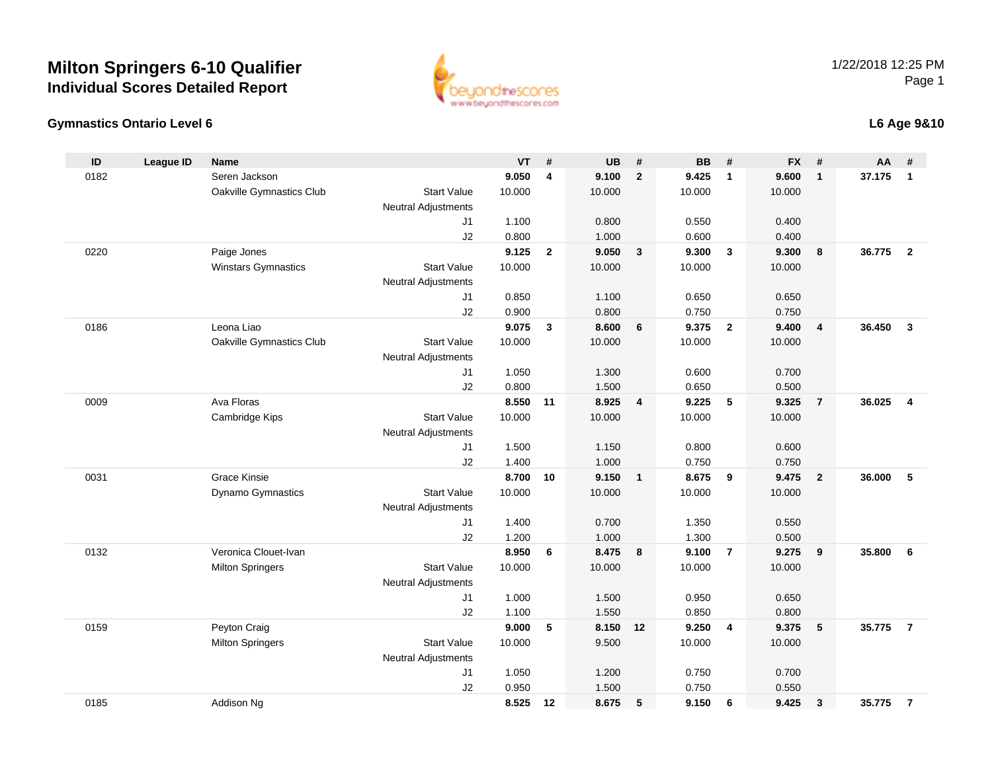



### **L6 Age 9&10**

| ID   | League ID | <b>Name</b>              |                            | <b>VT</b>      | #                       | <b>UB</b>      | #            | <b>BB</b>      | #                       | <b>FX</b>      | #                       | AA     | #                       |
|------|-----------|--------------------------|----------------------------|----------------|-------------------------|----------------|--------------|----------------|-------------------------|----------------|-------------------------|--------|-------------------------|
| 0182 |           | Seren Jackson            |                            | 9.050          | $\overline{\mathbf{4}}$ | 9.100          | $\mathbf{2}$ | 9.425          | $\mathbf{1}$            | 9.600          | $\mathbf{1}$            | 37.175 | $\mathbf{1}$            |
|      |           | Oakville Gymnastics Club | <b>Start Value</b>         | 10.000         |                         | 10.000         |              | 10.000         |                         | 10.000         |                         |        |                         |
|      |           |                          | <b>Neutral Adjustments</b> |                |                         |                |              |                |                         |                |                         |        |                         |
|      |           |                          | J1                         | 1.100          |                         | 0.800          |              | 0.550          |                         | 0.400          |                         |        |                         |
|      |           |                          | J2                         | 0.800          |                         | 1.000          |              | 0.600          |                         | 0.400          |                         |        |                         |
| 0220 |           | Paige Jones              |                            | 9.125          | $\mathbf{2}$            | 9.050          | $\mathbf{3}$ | 9.300          | $\mathbf{3}$            | 9.300          | 8                       | 36.775 | $\overline{2}$          |
|      |           | Winstars Gymnastics      | <b>Start Value</b>         | 10.000         |                         | 10.000         |              | 10.000         |                         | 10.000         |                         |        |                         |
|      |           |                          | <b>Neutral Adjustments</b> |                |                         |                |              |                |                         |                |                         |        |                         |
|      |           |                          | J1                         | 0.850          |                         | 1.100          |              | 0.650          |                         | 0.650          |                         |        |                         |
|      |           |                          | J2                         | 0.900          |                         | 0.800          |              | 0.750          |                         | 0.750          |                         |        |                         |
| 0186 |           | Leona Liao               |                            | 9.075          | 3                       | 8.600          | 6            | 9.375          | $\overline{\mathbf{2}}$ | 9.400          | $\overline{\mathbf{4}}$ | 36.450 | $\mathbf{3}$            |
|      |           | Oakville Gymnastics Club | <b>Start Value</b>         | 10.000         |                         | 10.000         |              | 10.000         |                         | 10.000         |                         |        |                         |
|      |           |                          | <b>Neutral Adjustments</b> |                |                         |                |              |                |                         |                |                         |        |                         |
|      |           |                          | J1                         | 1.050          |                         | 1.300          |              | 0.600          |                         | 0.700          |                         |        |                         |
|      |           |                          | J2                         | 0.800          |                         | 1.500          |              | 0.650          |                         | 0.500          |                         |        |                         |
| 0009 |           | Ava Floras               |                            | 8.550          | 11                      | 8.925          | 4            | 9.225          | 5                       | 9.325          | $\overline{7}$          | 36.025 | $\overline{\mathbf{4}}$ |
|      |           | Cambridge Kips           | <b>Start Value</b>         | 10.000         |                         | 10.000         |              | 10.000         |                         | 10.000         |                         |        |                         |
|      |           |                          | <b>Neutral Adjustments</b> |                |                         |                |              |                |                         |                |                         |        |                         |
|      |           |                          | J1                         | 1.500          |                         | 1.150          |              | 0.800          |                         | 0.600          |                         |        |                         |
|      |           |                          | J2                         | 1.400          |                         | 1.000          |              | 0.750          |                         | 0.750          |                         |        |                         |
| 0031 |           | <b>Grace Kinsie</b>      |                            | 8.700          | 10                      | 9.150          | $\mathbf{1}$ | 8.675          | 9                       | 9.475          | $\overline{2}$          | 36.000 | 5                       |
|      |           | Dynamo Gymnastics        | <b>Start Value</b>         | 10.000         |                         | 10.000         |              | 10.000         |                         | 10.000         |                         |        |                         |
|      |           |                          | <b>Neutral Adjustments</b> |                |                         |                |              |                |                         |                |                         |        |                         |
|      |           |                          | J1                         | 1.400          |                         | 0.700          |              | 1.350          |                         | 0.550          |                         |        |                         |
|      |           |                          | J2                         | 1.200          |                         | 1.000          |              | 1.300          |                         | 0.500          |                         |        |                         |
| 0132 |           | Veronica Clouet-Ivan     |                            | 8.950          | 6                       | 8.475          | 8            | 9.100          | $\overline{7}$          | 9.275          | 9                       | 35.800 | 6                       |
|      |           | <b>Milton Springers</b>  | <b>Start Value</b>         | 10.000         |                         | 10.000         |              | 10.000         |                         | 10.000         |                         |        |                         |
|      |           |                          | <b>Neutral Adjustments</b> |                |                         |                |              |                |                         |                |                         |        |                         |
|      |           |                          | J1                         | 1.000          |                         | 1.500          |              | 0.950          |                         | 0.650          |                         |        |                         |
|      |           |                          | J2                         | 1.100          |                         | 1.550          |              | 0.850          |                         | 0.800          |                         |        |                         |
| 0159 |           | Peyton Craig             | <b>Start Value</b>         | 9.000          | 5                       | 8.150          | 12           | 9.250          | 4                       | 9.375          | 5                       | 35.775 | $\overline{7}$          |
|      |           | <b>Milton Springers</b>  |                            | 10.000         |                         | 9.500          |              | 10.000         |                         | 10.000         |                         |        |                         |
|      |           |                          | <b>Neutral Adjustments</b> |                |                         |                |              |                |                         |                |                         |        |                         |
|      |           |                          | J1                         | 1.050<br>0.950 |                         | 1.200          |              | 0.750<br>0.750 |                         | 0.700          |                         |        |                         |
| 0185 |           |                          | J2                         | 8.525          | 12                      | 1.500<br>8.675 |              | 9.150          |                         | 0.550<br>9.425 |                         | 35.775 |                         |
|      |           | Addison Ng               |                            |                |                         |                | 5            |                | 6                       |                | $\mathbf{3}$            |        | $\overline{7}$          |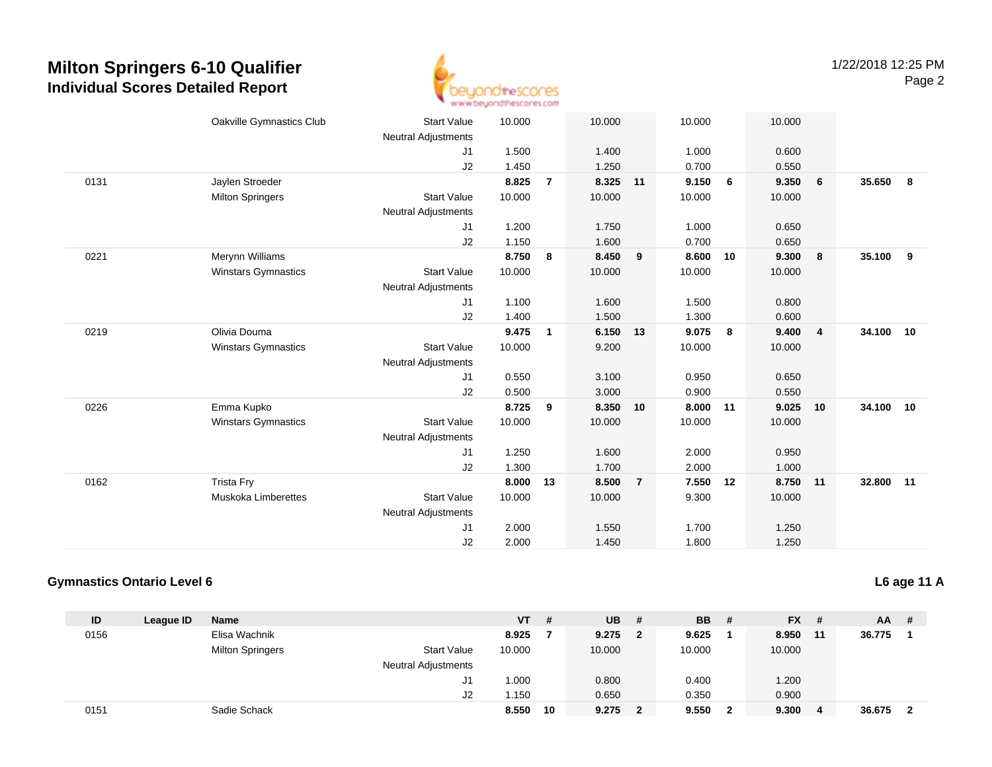

|      | Oakville Gymnastics Club   | <b>Start Value</b>         | 10.000 | 10.000                  |                | 10.000 |    | 10.000 |                |           |   |
|------|----------------------------|----------------------------|--------|-------------------------|----------------|--------|----|--------|----------------|-----------|---|
|      |                            | <b>Neutral Adjustments</b> |        |                         |                |        |    |        |                |           |   |
|      |                            | J1                         | 1.500  | 1.400                   |                | 1.000  |    | 0.600  |                |           |   |
|      |                            | J2                         | 1.450  | 1.250                   |                | 0.700  |    | 0.550  |                |           |   |
| 0131 | Jaylen Stroeder            |                            | 8.825  | 8.325<br>$\overline{7}$ | 11             | 9.150  | 6  | 9.350  | 6              | 35.650    | 8 |
|      | <b>Milton Springers</b>    | <b>Start Value</b>         | 10.000 | 10.000                  |                | 10.000 |    | 10.000 |                |           |   |
|      |                            | Neutral Adjustments        |        |                         |                |        |    |        |                |           |   |
|      |                            | J1                         | 1.200  | 1.750                   |                | 1.000  |    | 0.650  |                |           |   |
|      |                            | J2                         | 1.150  | 1.600                   |                | 0.700  |    | 0.650  |                |           |   |
| 0221 | Merynn Williams            |                            | 8.750  | 8.450<br>8              | 9              | 8.600  | 10 | 9.300  | 8              | 35.100    | 9 |
|      | <b>Winstars Gymnastics</b> | <b>Start Value</b>         | 10.000 | 10.000                  |                | 10.000 |    | 10.000 |                |           |   |
|      |                            | <b>Neutral Adjustments</b> |        |                         |                |        |    |        |                |           |   |
|      |                            | J1                         | 1.100  | 1.600                   |                | 1.500  |    | 0.800  |                |           |   |
|      |                            | J2                         | 1.400  | 1.500                   |                | 1.300  |    | 0.600  |                |           |   |
| 0219 | Olivia Douma               |                            | 9.475  | 6.150<br>$\mathbf{1}$   | 13             | 9.075  | 8  | 9.400  | $\overline{4}$ | 34.100 10 |   |
|      | <b>Winstars Gymnastics</b> | <b>Start Value</b>         | 10.000 | 9.200                   |                | 10.000 |    | 10.000 |                |           |   |
|      |                            | Neutral Adjustments        |        |                         |                |        |    |        |                |           |   |
|      |                            | J1                         | 0.550  | 3.100                   |                | 0.950  |    | 0.650  |                |           |   |
|      |                            | J2                         | 0.500  | 3.000                   |                | 0.900  |    | 0.550  |                |           |   |
| 0226 | Emma Kupko                 |                            | 8.725  | 8.350<br>9              | 10             | 8.000  | 11 | 9.025  | 10             | 34.100 10 |   |
|      | <b>Winstars Gymnastics</b> | <b>Start Value</b>         | 10.000 | 10.000                  |                | 10.000 |    | 10.000 |                |           |   |
|      |                            | Neutral Adjustments        |        |                         |                |        |    |        |                |           |   |
|      |                            | J1                         | 1.250  | 1.600                   |                | 2.000  |    | 0.950  |                |           |   |
|      |                            | J2                         | 1.300  | 1.700                   |                | 2.000  |    | 1.000  |                |           |   |
| 0162 | <b>Trista Fry</b>          |                            | 8.000  | 8.500<br>13             | $\overline{7}$ | 7.550  | 12 | 8.750  | 11             | 32.800 11 |   |
|      | Muskoka Limberettes        | <b>Start Value</b>         | 10.000 | 10.000                  |                | 9.300  |    | 10.000 |                |           |   |
|      |                            | <b>Neutral Adjustments</b> |        |                         |                |        |    |        |                |           |   |
|      |                            | J <sub>1</sub>             | 2.000  | 1.550                   |                | 1.700  |    | 1.250  |                |           |   |
|      |                            | J2                         | 2.000  | 1.450                   |                | 1.800  |    | 1.250  |                |           |   |
|      |                            |                            |        |                         |                |        |    |        |                |           |   |

#### **Gymnastics Ontario Level 6**

**L6 age 11 A**

| ID   | League ID | <b>Name</b>             |                            | <b>VT</b> | #  | <b>UB</b> | #  | <b>BB</b> | # | <b>FX</b> | - # | <b>AA</b> | - #                     |
|------|-----------|-------------------------|----------------------------|-----------|----|-----------|----|-----------|---|-----------|-----|-----------|-------------------------|
| 0156 |           | Elisa Wachnik           |                            | 8.925     |    | 9.275     | -2 | 9.625     |   | 8.950     | 11  | 36.775    |                         |
|      |           | <b>Milton Springers</b> | <b>Start Value</b>         | 10.000    |    | 10.000    |    | 10.000    |   | 10.000    |     |           |                         |
|      |           |                         | <b>Neutral Adjustments</b> |           |    |           |    |           |   |           |     |           |                         |
|      |           |                         | J1                         | 1.000     |    | 0.800     |    | 0.400     |   | 1.200     |     |           |                         |
|      |           |                         | J2                         | 1.150     |    | 0.650     |    | 0.350     |   | 0.900     |     |           |                         |
| 0151 |           | Sadie Schack            |                            | 8.550     | 10 | 9.275     | -2 | 9.550     | 2 | 9.300     | -4  | 36.675    | $\overline{\mathbf{2}}$ |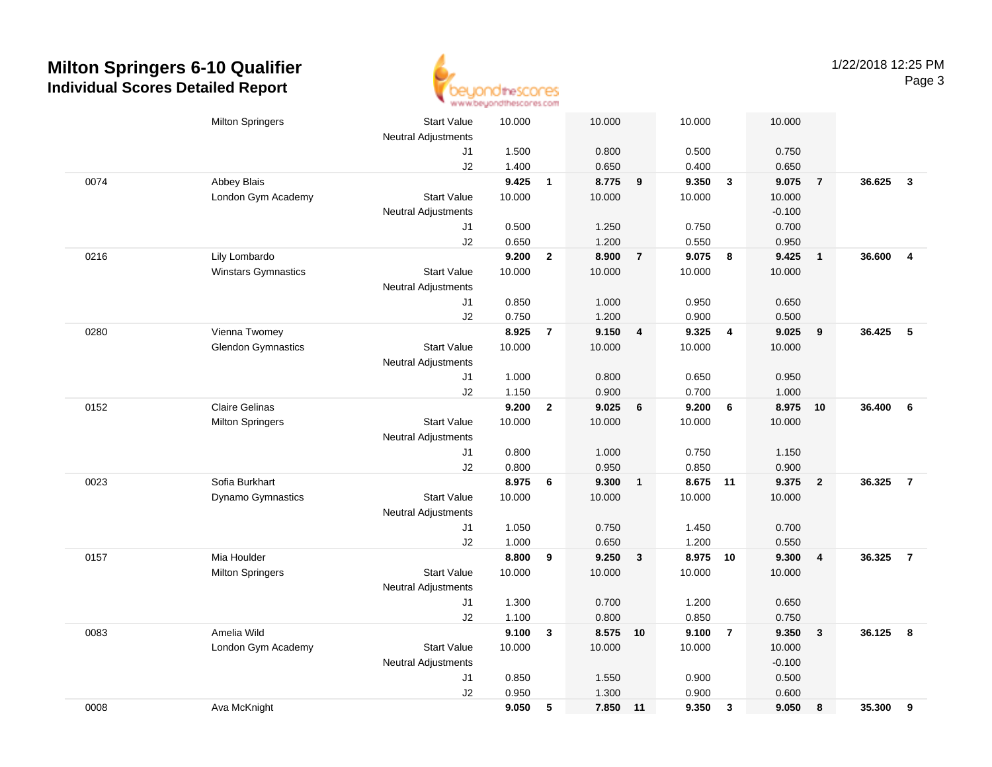

|      | <b>Milton Springers</b>    | <b>Start Value</b>         | 10.000 |                | 10.000   |                         | 10.000   |                         | 10.000   |                         |        |                         |
|------|----------------------------|----------------------------|--------|----------------|----------|-------------------------|----------|-------------------------|----------|-------------------------|--------|-------------------------|
|      |                            | <b>Neutral Adjustments</b> |        |                |          |                         |          |                         |          |                         |        |                         |
|      |                            | J1                         | 1.500  |                | 0.800    |                         | 0.500    |                         | 0.750    |                         |        |                         |
|      |                            | J2                         | 1.400  |                | 0.650    |                         | 0.400    |                         | 0.650    |                         |        |                         |
| 0074 | Abbey Blais                |                            | 9.425  | $\mathbf{1}$   | 8.775    | 9                       | 9.350    | $\overline{\mathbf{3}}$ | 9.075    | $\overline{7}$          | 36.625 | $\overline{\mathbf{3}}$ |
|      | London Gym Academy         | <b>Start Value</b>         | 10.000 |                | 10.000   |                         | 10.000   |                         | 10.000   |                         |        |                         |
|      |                            | <b>Neutral Adjustments</b> |        |                |          |                         |          |                         | $-0.100$ |                         |        |                         |
|      |                            | J1                         | 0.500  |                | 1.250    |                         | 0.750    |                         | 0.700    |                         |        |                         |
|      |                            | J2                         | 0.650  |                | 1.200    |                         | 0.550    |                         | 0.950    |                         |        |                         |
| 0216 | Lily Lombardo              |                            | 9.200  | $\mathbf{2}$   | 8.900    | $\overline{7}$          | 9.075    | 8                       | 9.425    | $\mathbf{1}$            | 36.600 | $\overline{4}$          |
|      | <b>Winstars Gymnastics</b> | <b>Start Value</b>         | 10.000 |                | 10.000   |                         | 10.000   |                         | 10.000   |                         |        |                         |
|      |                            | <b>Neutral Adjustments</b> |        |                |          |                         |          |                         |          |                         |        |                         |
|      |                            | J1                         | 0.850  |                | 1.000    |                         | 0.950    |                         | 0.650    |                         |        |                         |
|      |                            | J2                         | 0.750  |                | 1.200    |                         | 0.900    |                         | 0.500    |                         |        |                         |
| 0280 | Vienna Twomey              |                            | 8.925  | $\overline{7}$ | 9.150    | $\overline{4}$          | 9.325    | 4                       | 9.025    | 9                       | 36.425 | 5                       |
|      | <b>Glendon Gymnastics</b>  | <b>Start Value</b>         | 10.000 |                | 10.000   |                         | 10.000   |                         | 10.000   |                         |        |                         |
|      |                            | <b>Neutral Adjustments</b> |        |                |          |                         |          |                         |          |                         |        |                         |
|      |                            | J1                         | 1.000  |                | 0.800    |                         | 0.650    |                         | 0.950    |                         |        |                         |
|      |                            | J2                         | 1.150  |                | 0.900    |                         | 0.700    |                         | 1.000    |                         |        |                         |
| 0152 | <b>Claire Gelinas</b>      |                            | 9.200  | $\mathbf{2}$   | 9.025    | 6                       | 9.200    | $6\phantom{1}6$         | 8.975    | 10                      | 36.400 | 6                       |
|      | <b>Milton Springers</b>    | <b>Start Value</b>         | 10.000 |                | 10.000   |                         | 10.000   |                         | 10.000   |                         |        |                         |
|      |                            | <b>Neutral Adjustments</b> |        |                |          |                         |          |                         |          |                         |        |                         |
|      |                            | J1                         | 0.800  |                | 1.000    |                         | 0.750    |                         | 1.150    |                         |        |                         |
|      |                            | J2                         | 0.800  |                | 0.950    |                         | 0.850    |                         | 0.900    |                         |        |                         |
| 0023 | Sofia Burkhart             |                            | 8.975  | 6              | 9.300    | $\overline{\mathbf{1}}$ | 8.675    | 11                      | 9.375    | $\overline{\mathbf{2}}$ | 36.325 | $\overline{7}$          |
|      | Dynamo Gymnastics          | <b>Start Value</b>         | 10.000 |                | 10.000   |                         | 10.000   |                         | 10.000   |                         |        |                         |
|      |                            | <b>Neutral Adjustments</b> |        |                |          |                         |          |                         |          |                         |        |                         |
|      |                            | J1                         | 1.050  |                | 0.750    |                         | 1.450    |                         | 0.700    |                         |        |                         |
|      |                            | J2                         | 1.000  |                | 0.650    |                         | 1.200    |                         | 0.550    |                         |        |                         |
| 0157 | Mia Houlder                |                            | 8.800  | 9              | 9.250    | $\mathbf{3}$            | 8.975 10 |                         | 9.300    | 4                       | 36.325 | $\overline{7}$          |
|      | <b>Milton Springers</b>    | <b>Start Value</b>         | 10.000 |                | 10.000   |                         | 10.000   |                         | 10.000   |                         |        |                         |
|      |                            | <b>Neutral Adjustments</b> |        |                |          |                         |          |                         |          |                         |        |                         |
|      |                            | J1                         | 1.300  |                | 0.700    |                         | 1.200    |                         | 0.650    |                         |        |                         |
|      |                            | J2                         | 1.100  |                | 0.800    |                         | 0.850    |                         | 0.750    |                         |        |                         |
| 0083 | Amelia Wild                |                            | 9.100  | 3              | 8.575 10 |                         | 9.100    | $\overline{7}$          | 9.350    | $\overline{\mathbf{3}}$ | 36.125 | 8                       |
|      | London Gym Academy         | <b>Start Value</b>         | 10.000 |                | 10.000   |                         | 10.000   |                         | 10.000   |                         |        |                         |
|      |                            | Neutral Adjustments        |        |                |          |                         |          |                         | $-0.100$ |                         |        |                         |
|      |                            | J1                         | 0.850  |                | 1.550    |                         | 0.900    |                         | 0.500    |                         |        |                         |
|      |                            | J2                         | 0.950  |                | 1.300    |                         | 0.900    |                         | 0.600    |                         |        |                         |
| 0008 | Ava McKnight               |                            | 9.050  | 5              | 7.850    | 11                      | 9.350    | $\mathbf{3}$            | 9.050    | 8                       | 35.300 | 9                       |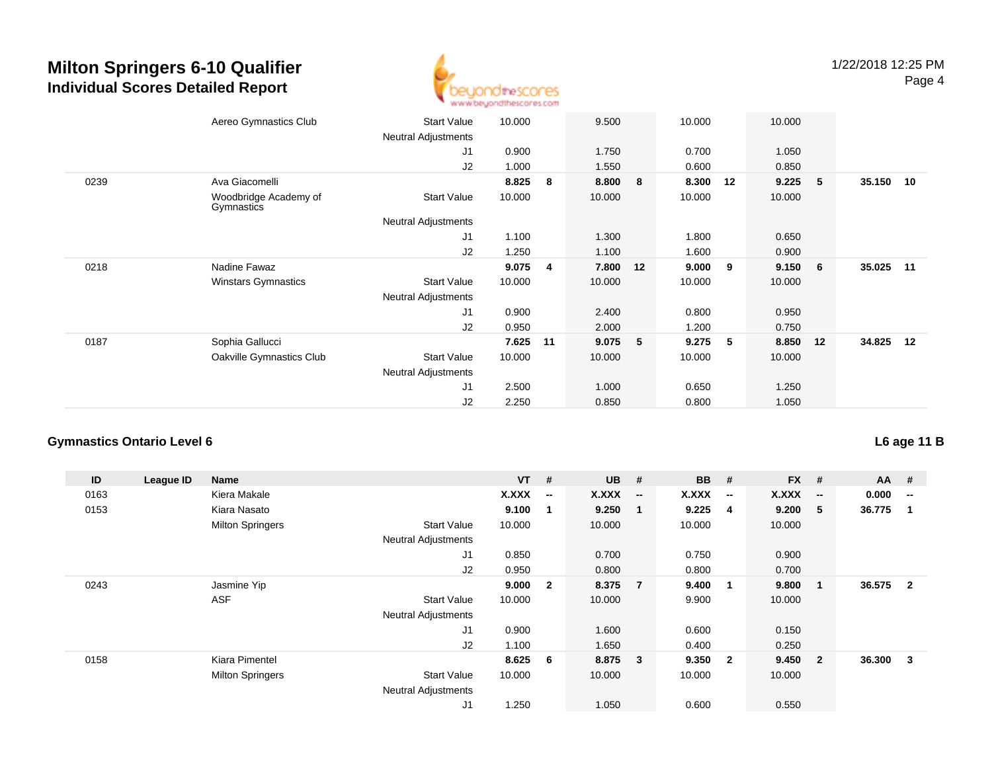

|      | Aereo Gymnastics Club               | <b>Start Value</b>         | 10.000 |    | 9.500  |    | 10.000 |    | 10.000 |    |           |    |
|------|-------------------------------------|----------------------------|--------|----|--------|----|--------|----|--------|----|-----------|----|
|      |                                     | Neutral Adjustments        |        |    |        |    |        |    |        |    |           |    |
|      |                                     | J <sub>1</sub>             | 0.900  |    | 1.750  |    | 0.700  |    | 1.050  |    |           |    |
|      |                                     | J2                         | 1.000  |    | 1.550  |    | 0.600  |    | 0.850  |    |           |    |
| 0239 | Ava Giacomelli                      |                            | 8.825  | 8  | 8.800  | 8  | 8.300  | 12 | 9.225  | 5  | 35.150 10 |    |
|      | Woodbridge Academy of<br>Gymnastics | <b>Start Value</b>         | 10.000 |    | 10.000 |    | 10.000 |    | 10.000 |    |           |    |
|      |                                     | Neutral Adjustments        |        |    |        |    |        |    |        |    |           |    |
|      |                                     | J1                         | 1.100  |    | 1.300  |    | 1.800  |    | 0.650  |    |           |    |
|      |                                     | J2                         | 1.250  |    | 1.100  |    | 1.600  |    | 0.900  |    |           |    |
| 0218 | Nadine Fawaz                        |                            | 9.075  | 4  | 7.800  | 12 | 9.000  | 9  | 9.150  | 6  | 35.025    | 11 |
|      | <b>Winstars Gymnastics</b>          | <b>Start Value</b>         | 10.000 |    | 10.000 |    | 10.000 |    | 10.000 |    |           |    |
|      |                                     | <b>Neutral Adjustments</b> |        |    |        |    |        |    |        |    |           |    |
|      |                                     | J <sub>1</sub>             | 0.900  |    | 2.400  |    | 0.800  |    | 0.950  |    |           |    |
|      |                                     | J2                         | 0.950  |    | 2.000  |    | 1.200  |    | 0.750  |    |           |    |
| 0187 | Sophia Gallucci                     |                            | 7.625  | 11 | 9.075  | 5  | 9.275  | 5  | 8.850  | 12 | 34.825    | 12 |
|      | Oakville Gymnastics Club            | <b>Start Value</b>         | 10.000 |    | 10.000 |    | 10.000 |    | 10.000 |    |           |    |
|      |                                     | Neutral Adjustments        |        |    |        |    |        |    |        |    |           |    |
|      |                                     | J <sub>1</sub>             | 2.500  |    | 1.000  |    | 0.650  |    | 1.250  |    |           |    |
|      |                                     | J2                         | 2.250  |    | 0.850  |    | 0.800  |    | 1.050  |    |           |    |
|      |                                     |                            |        |    |        |    |        |    |        |    |           |    |

#### **Gymnastics Ontario Level 6**

**L6 age 11 B**

| ID   | League ID | <b>Name</b>             |                            | $VT$ # |                          | <b>UB</b> | #                       | <b>BB</b>    | #                        | <b>FX</b> | #                        | $AA$ # |                          |
|------|-----------|-------------------------|----------------------------|--------|--------------------------|-----------|-------------------------|--------------|--------------------------|-----------|--------------------------|--------|--------------------------|
| 0163 |           | Kiera Makale            |                            | X.XXX  | $\overline{\phantom{a}}$ | X.XXX     | $-$                     | <b>X.XXX</b> | $\overline{\phantom{a}}$ | X.XXX     | $\overline{\phantom{a}}$ | 0.000  | $\overline{\phantom{a}}$ |
| 0153 |           | Kiara Nasato            |                            | 9.100  | -1                       | 9.250     | $\blacksquare$          | 9.225        | -4                       | 9.200     | 5                        | 36.775 | 1                        |
|      |           | <b>Milton Springers</b> | <b>Start Value</b>         | 10.000 |                          | 10.000    |                         | 10.000       |                          | 10.000    |                          |        |                          |
|      |           |                         | <b>Neutral Adjustments</b> |        |                          |           |                         |              |                          |           |                          |        |                          |
|      |           |                         | J <sub>1</sub>             | 0.850  |                          | 0.700     |                         | 0.750        |                          | 0.900     |                          |        |                          |
|      |           |                         | J2                         | 0.950  |                          | 0.800     |                         | 0.800        |                          | 0.700     |                          |        |                          |
| 0243 |           | Jasmine Yip             |                            | 9.000  | $\overline{2}$           | 8.375 7   |                         | 9.400        | -1                       | 9.800     | $\mathbf{1}$             | 36.575 | $\overline{\mathbf{2}}$  |
|      |           | <b>ASF</b>              | <b>Start Value</b>         | 10.000 |                          | 10.000    |                         | 9.900        |                          | 10.000    |                          |        |                          |
|      |           |                         | <b>Neutral Adjustments</b> |        |                          |           |                         |              |                          |           |                          |        |                          |
|      |           |                         | J <sub>1</sub>             | 0.900  |                          | 1.600     |                         | 0.600        |                          | 0.150     |                          |        |                          |
|      |           |                         | J2                         | 1.100  |                          | 1.650     |                         | 0.400        |                          | 0.250     |                          |        |                          |
| 0158 |           | Kiara Pimentel          |                            | 8.625  | - 6                      | 8.875     | $\overline{\mathbf{3}}$ | 9.350        | $\overline{\mathbf{2}}$  | 9.450     | $\overline{2}$           | 36.300 | 3                        |
|      |           | <b>Milton Springers</b> | <b>Start Value</b>         | 10.000 |                          | 10.000    |                         | 10.000       |                          | 10.000    |                          |        |                          |
|      |           |                         | <b>Neutral Adjustments</b> |        |                          |           |                         |              |                          |           |                          |        |                          |
|      |           |                         | J <sub>1</sub>             | 1.250  |                          | 1.050     |                         | 0.600        |                          | 0.550     |                          |        |                          |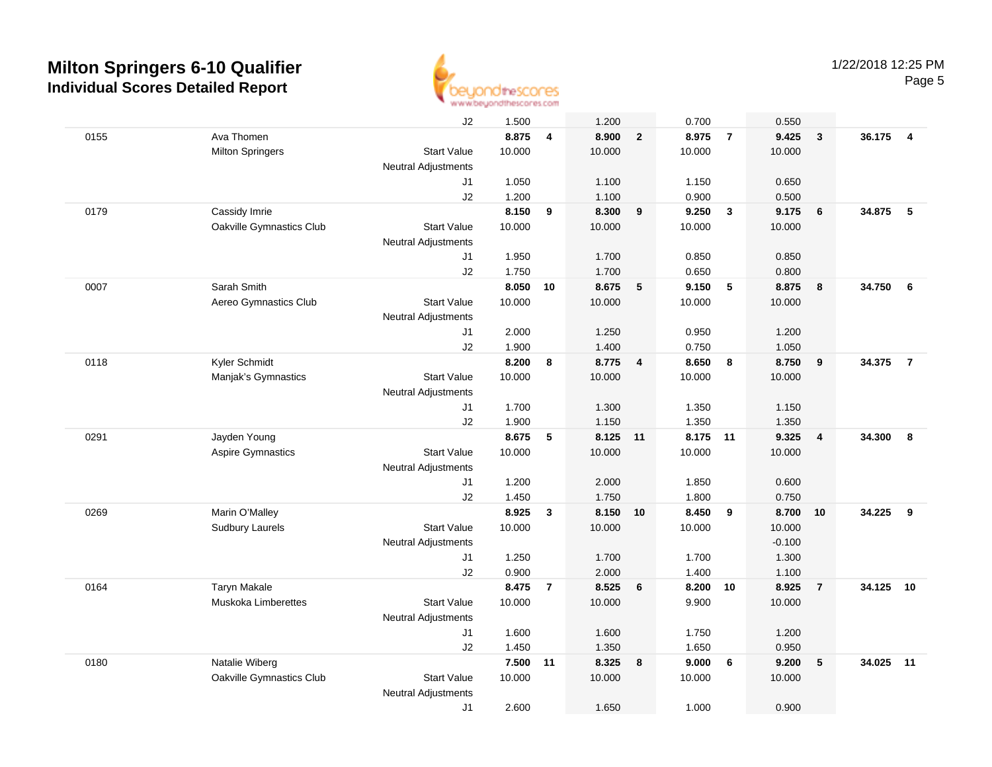

|      |                            | J2                         | 1.500  |                         | 1.200    |                         | 0.700    |                | 0.550    |                         |          |                |
|------|----------------------------|----------------------------|--------|-------------------------|----------|-------------------------|----------|----------------|----------|-------------------------|----------|----------------|
| 0155 | Ava Thomen                 |                            | 8.875  | $\overline{\mathbf{4}}$ | 8.900    | $\overline{2}$          | 8.975    | $\overline{7}$ | 9.425    | $\overline{\mathbf{3}}$ | 36.175 4 |                |
|      | <b>Milton Springers</b>    | <b>Start Value</b>         | 10.000 |                         | 10.000   |                         | 10.000   |                | 10.000   |                         |          |                |
|      |                            | <b>Neutral Adjustments</b> |        |                         |          |                         |          |                |          |                         |          |                |
|      |                            | J1                         | 1.050  |                         | 1.100    |                         | 1.150    |                | 0.650    |                         |          |                |
|      |                            | J2                         | 1.200  |                         | 1.100    |                         | 0.900    |                | 0.500    |                         |          |                |
| 0179 | Cassidy Imrie              |                            | 8.150  | 9                       | 8.300    | 9                       | 9.250    | $\mathbf{3}$   | 9.175    | 6                       | 34.875   | 5              |
|      | Oakville Gymnastics Club   | <b>Start Value</b>         | 10.000 |                         | 10.000   |                         | 10.000   |                | 10.000   |                         |          |                |
|      |                            | <b>Neutral Adjustments</b> |        |                         |          |                         |          |                |          |                         |          |                |
|      |                            | J1                         | 1.950  |                         | 1.700    |                         | 0.850    |                | 0.850    |                         |          |                |
|      |                            | J2                         | 1.750  |                         | 1.700    |                         | 0.650    |                | 0.800    |                         |          |                |
| 0007 | Sarah Smith                |                            | 8.050  | 10                      | 8.675    | $-5$                    | 9.150    | - 5            | 8.875    | 8                       | 34.750   | 6              |
|      | Aereo Gymnastics Club      | <b>Start Value</b>         | 10.000 |                         | 10.000   |                         | 10.000   |                | 10.000   |                         |          |                |
|      |                            | <b>Neutral Adjustments</b> |        |                         |          |                         |          |                |          |                         |          |                |
|      |                            | J1                         | 2.000  |                         | 1.250    |                         | 0.950    |                | 1.200    |                         |          |                |
|      |                            | J2                         | 1.900  |                         | 1.400    |                         | 0.750    |                | 1.050    |                         |          |                |
| 0118 | Kyler Schmidt              |                            | 8.200  | 8                       | 8.775    | $\overline{\mathbf{4}}$ | 8.650    | 8              | 8.750    | 9                       | 34.375   | $\overline{7}$ |
|      | Manjak's Gymnastics        | <b>Start Value</b>         | 10.000 |                         | 10.000   |                         | 10.000   |                | 10.000   |                         |          |                |
|      |                            | <b>Neutral Adjustments</b> |        |                         |          |                         |          |                |          |                         |          |                |
|      |                            | J1                         | 1.700  |                         | 1.300    |                         | 1.350    |                | 1.150    |                         |          |                |
|      |                            | J2                         | 1.900  |                         | 1.150    |                         | 1.350    |                | 1.350    |                         |          |                |
| 0291 | Jayden Young               |                            | 8.675  | 5                       | 8.125 11 |                         | 8.175 11 |                | 9.325    | $\overline{4}$          | 34.300   | 8              |
|      | <b>Aspire Gymnastics</b>   | <b>Start Value</b>         | 10.000 |                         | 10.000   |                         | 10.000   |                | 10.000   |                         |          |                |
|      |                            | <b>Neutral Adjustments</b> |        |                         |          |                         |          |                |          |                         |          |                |
|      |                            | J1                         | 1.200  |                         | 2.000    |                         | 1.850    |                | 0.600    |                         |          |                |
|      |                            | J2                         | 1.450  |                         | 1.750    |                         | 1.800    |                | 0.750    |                         |          |                |
| 0269 | Marin O'Malley             |                            | 8.925  | 3                       | 8.150    | 10                      | 8.450    | 9              | 8.700    | 10                      | 34.225   | 9              |
|      | <b>Sudbury Laurels</b>     | <b>Start Value</b>         | 10.000 |                         | 10.000   |                         | 10.000   |                | 10.000   |                         |          |                |
|      |                            | <b>Neutral Adjustments</b> |        |                         |          |                         |          |                | $-0.100$ |                         |          |                |
|      |                            | J1                         | 1.250  |                         | 1.700    |                         | 1.700    |                | 1.300    |                         |          |                |
|      |                            | J2                         | 0.900  |                         | 2.000    |                         | 1.400    |                | 1.100    |                         |          |                |
| 0164 | <b>Taryn Makale</b>        |                            | 8.475  | $\overline{7}$          | 8.525    | 6                       | 8.200    | 10             | 8.925    | $\overline{7}$          | 34.125   | 10             |
|      | <b>Muskoka Limberettes</b> | <b>Start Value</b>         | 10.000 |                         | 10.000   |                         | 9.900    |                | 10.000   |                         |          |                |
|      |                            | <b>Neutral Adjustments</b> |        |                         |          |                         |          |                |          |                         |          |                |
|      |                            | J1                         | 1.600  |                         | 1.600    |                         | 1.750    |                | 1.200    |                         |          |                |
|      |                            | J2                         | 1.450  |                         | 1.350    |                         | 1.650    |                | 0.950    |                         |          |                |
| 0180 | Natalie Wiberg             |                            | 7.500  | 11                      | 8.325    | 8                       | 9.000    | 6              | 9.200    | 5                       | 34.025   | 11             |
|      | Oakville Gymnastics Club   | <b>Start Value</b>         | 10.000 |                         | 10.000   |                         | 10.000   |                | 10.000   |                         |          |                |
|      |                            | Neutral Adjustments        |        |                         |          |                         |          |                |          |                         |          |                |
|      |                            | J1                         | 2.600  |                         | 1.650    |                         | 1.000    |                | 0.900    |                         |          |                |
|      |                            |                            |        |                         |          |                         |          |                |          |                         |          |                |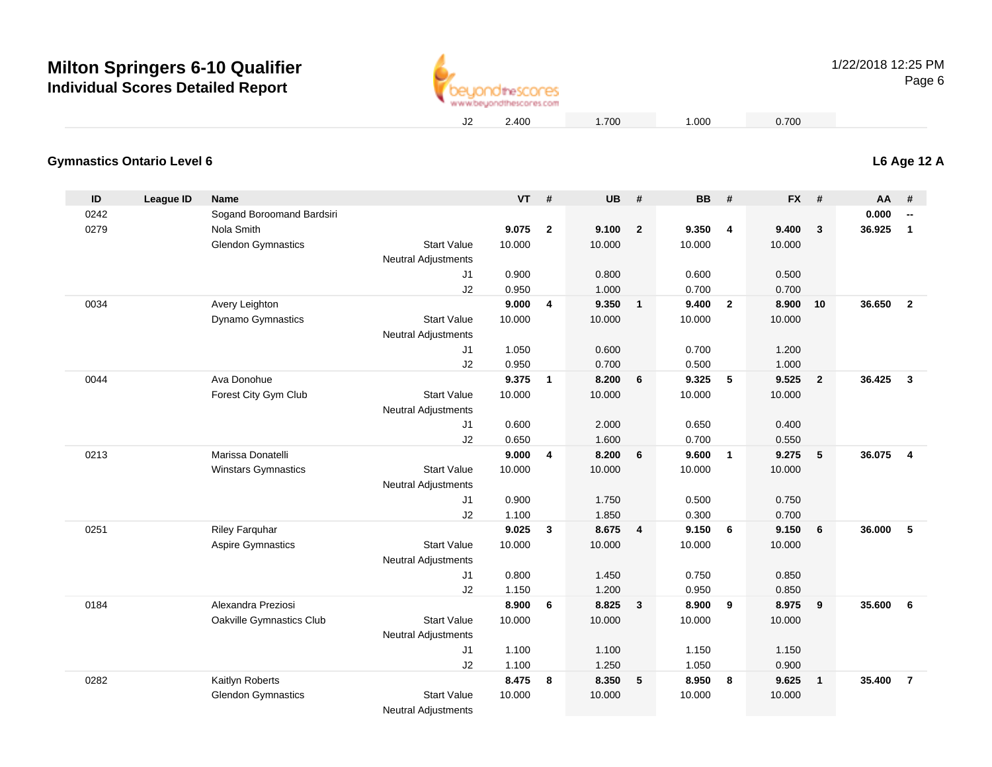

2.400 1.700 1.000 0.700

#### **Gymnastics Ontario Level 6L6 Age 12 A**

| ID   | <b>League ID</b> | <b>Name</b>               |                            | <b>VT</b> | #                       | <b>UB</b> | #                       | <b>BB</b> | #              | <b>FX</b> | #              | AA     | #                        |
|------|------------------|---------------------------|----------------------------|-----------|-------------------------|-----------|-------------------------|-----------|----------------|-----------|----------------|--------|--------------------------|
| 0242 |                  | Sogand Boroomand Bardsiri |                            |           |                         |           |                         |           |                |           |                | 0.000  | $\overline{\phantom{a}}$ |
| 0279 |                  | Nola Smith                |                            | 9.075     | $\overline{2}$          | 9.100     | $\overline{\mathbf{2}}$ | 9.350     | $\overline{4}$ | 9.400     | $\mathbf{3}$   | 36.925 | $\mathbf{1}$             |
|      |                  | <b>Glendon Gymnastics</b> | <b>Start Value</b>         | 10.000    |                         | 10.000    |                         | 10.000    |                | 10.000    |                |        |                          |
|      |                  |                           | <b>Neutral Adjustments</b> |           |                         |           |                         |           |                |           |                |        |                          |
|      |                  |                           | J1                         | 0.900     |                         | 0.800     |                         | 0.600     |                | 0.500     |                |        |                          |
|      |                  |                           | J2                         | 0.950     |                         | 1.000     |                         | 0.700     |                | 0.700     |                |        |                          |
| 0034 |                  | Avery Leighton            |                            | 9.000     | $\overline{\mathbf{4}}$ | 9.350     | $\overline{1}$          | 9.400     | $\overline{2}$ | 8.900     | 10             | 36.650 | $\overline{\mathbf{2}}$  |
|      |                  | Dynamo Gymnastics         | <b>Start Value</b>         | 10.000    |                         | 10.000    |                         | 10.000    |                | 10.000    |                |        |                          |
|      |                  |                           | <b>Neutral Adjustments</b> |           |                         |           |                         |           |                |           |                |        |                          |
|      |                  |                           | J1                         | 1.050     |                         | 0.600     |                         | 0.700     |                | 1.200     |                |        |                          |
|      |                  |                           | J2                         | 0.950     |                         | 0.700     |                         | 0.500     |                | 1.000     |                |        |                          |
| 0044 |                  | Ava Donohue               |                            | 9.375     | $\mathbf{1}$            | 8.200     | 6                       | 9.325     | 5              | 9.525     | $\overline{2}$ | 36.425 | $\mathbf{3}$             |
|      |                  | Forest City Gym Club      | <b>Start Value</b>         | 10.000    |                         | 10.000    |                         | 10.000    |                | 10.000    |                |        |                          |
|      |                  |                           | <b>Neutral Adjustments</b> |           |                         |           |                         |           |                |           |                |        |                          |
|      |                  |                           | J1                         | 0.600     |                         | 2.000     |                         | 0.650     |                | 0.400     |                |        |                          |
|      |                  |                           | J2                         | 0.650     |                         | 1.600     |                         | 0.700     |                | 0.550     |                |        |                          |
| 0213 |                  | Marissa Donatelli         |                            | 9.000     | 4                       | 8.200     | 6                       | 9.600     | $\overline{1}$ | 9.275     | 5              | 36.075 | $\overline{4}$           |
|      |                  | Winstars Gymnastics       | <b>Start Value</b>         | 10.000    |                         | 10.000    |                         | 10.000    |                | 10.000    |                |        |                          |
|      |                  |                           | <b>Neutral Adjustments</b> |           |                         |           |                         |           |                |           |                |        |                          |
|      |                  |                           | J1                         | 0.900     |                         | 1.750     |                         | 0.500     |                | 0.750     |                |        |                          |
|      |                  |                           | J2                         | 1.100     |                         | 1.850     |                         | 0.300     |                | 0.700     |                |        |                          |
| 0251 |                  | <b>Riley Farquhar</b>     |                            | 9.025     | $\mathbf{3}$            | 8.675     | $\overline{4}$          | 9.150     | 6              | 9.150     | $6\phantom{1}$ | 36.000 | $-5$                     |
|      |                  | <b>Aspire Gymnastics</b>  | <b>Start Value</b>         | 10.000    |                         | 10.000    |                         | 10.000    |                | 10.000    |                |        |                          |
|      |                  |                           | <b>Neutral Adjustments</b> |           |                         |           |                         |           |                |           |                |        |                          |
|      |                  |                           | J1                         | 0.800     |                         | 1.450     |                         | 0.750     |                | 0.850     |                |        |                          |
|      |                  |                           | J2                         | 1.150     |                         | 1.200     |                         | 0.950     |                | 0.850     |                |        |                          |
| 0184 |                  | Alexandra Preziosi        |                            | 8.900     | 6                       | 8.825     | $\mathbf{3}$            | 8.900     | 9              | 8.975     | 9              | 35.600 | 6                        |
|      |                  | Oakville Gymnastics Club  | <b>Start Value</b>         | 10.000    |                         | 10.000    |                         | 10.000    |                | 10.000    |                |        |                          |
|      |                  |                           | <b>Neutral Adjustments</b> |           |                         |           |                         |           |                |           |                |        |                          |
|      |                  |                           | J1                         | 1.100     |                         | 1.100     |                         | 1.150     |                | 1.150     |                |        |                          |
|      |                  |                           | J2                         | 1.100     |                         | 1.250     |                         | 1.050     |                | 0.900     |                |        |                          |
| 0282 |                  | Kaitlyn Roberts           |                            | 8.475     | 8                       | 8.350     | $-5$                    | 8.950     | 8              | 9.625     | $\mathbf{1}$   | 35,400 | $\overline{7}$           |
|      |                  | <b>Glendon Gymnastics</b> | <b>Start Value</b>         | 10.000    |                         | 10.000    |                         | 10.000    |                | 10.000    |                |        |                          |
|      |                  |                           | <b>Neutral Adjustments</b> |           |                         |           |                         |           |                |           |                |        |                          |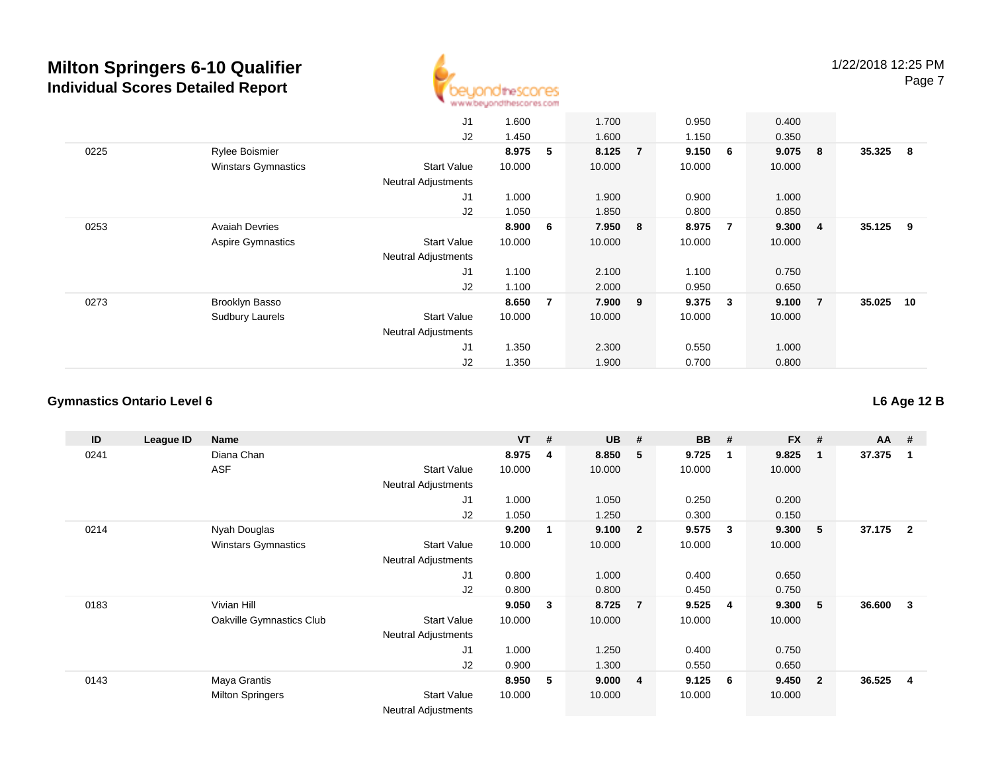

|                            | J1                         | 1.600  |                | 1.700  | 0.950                         |                | 0.400   |                |                     |          |
|----------------------------|----------------------------|--------|----------------|--------|-------------------------------|----------------|---------|----------------|---------------------|----------|
|                            | J2                         | 1.450  |                | 1.600  | 1.150                         |                | 0.350   |                |                     |          |
| Rylee Boismier             |                            | 8.975  | 5              |        |                               |                | 9.075   |                | 35.325              | $\bf{8}$ |
| <b>Winstars Gymnastics</b> | <b>Start Value</b>         | 10.000 |                | 10.000 | 10.000                        |                | 10.000  |                |                     |          |
|                            | <b>Neutral Adjustments</b> |        |                |        |                               |                |         |                |                     |          |
|                            | J <sub>1</sub>             | 1.000  |                | 1.900  | 0.900                         |                | 1.000   |                |                     |          |
|                            | J2                         | 1.050  |                | 1.850  | 0.800                         |                | 0.850   |                |                     |          |
| <b>Avaiah Devries</b>      |                            | 8.900  | 6              |        | 8.975                         | $\overline{7}$ | 9.300   |                | 35.125              | - 9      |
| Aspire Gymnastics          | <b>Start Value</b>         | 10.000 |                | 10.000 | 10.000                        |                | 10.000  |                |                     |          |
|                            | <b>Neutral Adjustments</b> |        |                |        |                               |                |         |                |                     |          |
|                            | J1                         | 1.100  |                | 2.100  | 1.100                         |                | 0.750   |                |                     |          |
|                            | J2                         | 1.100  |                | 2.000  | 0.950                         |                | 0.650   |                |                     |          |
| Brooklyn Basso             |                            | 8.650  | $\overline{7}$ |        | 9.375                         | $\mathbf{3}$   | 9.100   | $\overline{7}$ | 35.025              | 10       |
| Sudbury Laurels            | <b>Start Value</b>         | 10.000 |                | 10.000 | 10.000                        |                | 10.000  |                |                     |          |
|                            | Neutral Adjustments        |        |                |        |                               |                |         |                |                     |          |
|                            | J <sub>1</sub>             | 1.350  |                | 2.300  | 0.550                         |                | 1.000   |                |                     |          |
|                            | J2                         | 1.350  |                | 1.900  | 0.700                         |                | 0.800   |                |                     |          |
|                            |                            |        |                |        | 8.125 7<br>7.950 8<br>7.900 9 |                | 9.150 6 |                | 8<br>$\overline{4}$ |          |

#### **Gymnastics Ontario Level 6**

**ID League ID Name VT # UB # BB # FX # AA #** 0241 Diana Chan **8.975 <sup>4</sup> 8.850 <sup>5</sup> 9.725 <sup>1</sup> 9.825 <sup>1</sup> 37.375 <sup>1</sup>** ASF**F** 10.000 10.000 10.000 10.000 10.000 10.000 Neutral Adjustments J1 1.000 1.050 0.250 0.200 J2 1.050 1.250 0.300 0.150 0214 Nyah Douglas **9.200 <sup>1</sup> 9.100 <sup>2</sup> 9.575 <sup>3</sup> 9.300 <sup>5</sup> 37.175 <sup>2</sup>** Winstars Gymnastics Start Valuee 10.000 10.000 10.000 10.000 Neutral Adjustments J1 0.800 1.000 0.400 0.650 J2 0.800 0.800 0.450 0.750 0183 Vivian Hill **9.050 <sup>3</sup> 8.725 <sup>7</sup> 9.525 <sup>4</sup> 9.300 <sup>5</sup> 36.600 <sup>3</sup>** Oakville Gymnastics Club Start Value 10.000 10.000 10.000 10.000 Neutral Adjustments J1 1.000 1.250 0.400 0.750 J2 0.900 1.300 0.550 0.650 0143 Maya Grantis **8.950 <sup>5</sup> 9.000 <sup>4</sup> 9.125 <sup>6</sup> 9.450 <sup>2</sup> 36.525 <sup>4</sup>** Milton Springers Start Valuee 10.000 10.000 10.000 10.000 Neutral Adjustments

**L6 Age 12 B**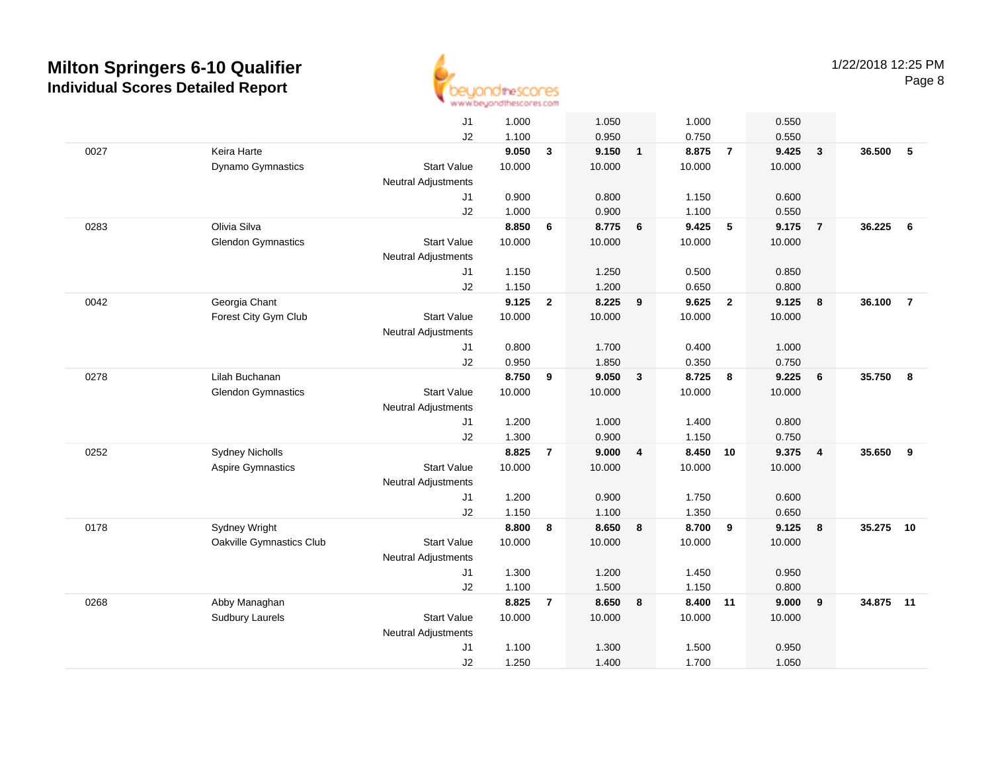

|      |                           | J <sub>1</sub>             | 1.000  |                | 1.050  |                         | 1.000  |                         | 0.550  |                         |        |                |
|------|---------------------------|----------------------------|--------|----------------|--------|-------------------------|--------|-------------------------|--------|-------------------------|--------|----------------|
|      |                           | J2                         | 1.100  |                | 0.950  |                         | 0.750  |                         | 0.550  |                         |        |                |
| 0027 | Keira Harte               |                            | 9.050  | $\mathbf{3}$   | 9.150  | $\overline{\mathbf{1}}$ | 8.875  | $\overline{7}$          | 9.425  | 3                       | 36.500 | -5             |
|      | Dynamo Gymnastics         | <b>Start Value</b>         | 10.000 |                | 10.000 |                         | 10.000 |                         | 10.000 |                         |        |                |
|      |                           | <b>Neutral Adjustments</b> |        |                |        |                         |        |                         |        |                         |        |                |
|      |                           | J1                         | 0.900  |                | 0.800  |                         | 1.150  |                         | 0.600  |                         |        |                |
|      |                           | J2                         | 1.000  |                | 0.900  |                         | 1.100  |                         | 0.550  |                         |        |                |
| 0283 | Olivia Silva              |                            | 8.850  | 6              | 8.775  | 6                       | 9.425  | 5                       | 9.175  | $\overline{7}$          | 36.225 | 6              |
|      | <b>Glendon Gymnastics</b> | <b>Start Value</b>         | 10.000 |                | 10.000 |                         | 10.000 |                         | 10.000 |                         |        |                |
|      |                           | <b>Neutral Adjustments</b> |        |                |        |                         |        |                         |        |                         |        |                |
|      |                           | J1                         | 1.150  |                | 1.250  |                         | 0.500  |                         | 0.850  |                         |        |                |
|      |                           | J2                         | 1.150  |                | 1.200  |                         | 0.650  |                         | 0.800  |                         |        |                |
| 0042 | Georgia Chant             |                            | 9.125  | $\mathbf{2}$   | 8.225  | $\overline{9}$          | 9.625  | $\overline{\mathbf{2}}$ | 9.125  | 8                       | 36.100 | $\overline{7}$ |
|      | Forest City Gym Club      | <b>Start Value</b>         | 10.000 |                | 10.000 |                         | 10.000 |                         | 10.000 |                         |        |                |
|      |                           | <b>Neutral Adjustments</b> |        |                |        |                         |        |                         |        |                         |        |                |
|      |                           | J1                         | 0.800  |                | 1.700  |                         | 0.400  |                         | 1.000  |                         |        |                |
|      |                           | J2                         | 0.950  |                | 1.850  |                         | 0.350  |                         | 0.750  |                         |        |                |
| 0278 | Lilah Buchanan            |                            | 8.750  | 9              | 9.050  | $\mathbf{3}$            | 8.725  | 8                       | 9.225  | 6                       | 35.750 | 8              |
|      | <b>Glendon Gymnastics</b> | <b>Start Value</b>         | 10.000 |                | 10.000 |                         | 10.000 |                         | 10.000 |                         |        |                |
|      |                           | <b>Neutral Adjustments</b> |        |                |        |                         |        |                         |        |                         |        |                |
|      |                           | J1                         | 1.200  |                | 1.000  |                         | 1.400  |                         | 0.800  |                         |        |                |
|      |                           | J2                         | 1.300  |                | 0.900  |                         | 1.150  |                         | 0.750  |                         |        |                |
| 0252 | <b>Sydney Nicholls</b>    |                            | 8.825  | $\overline{7}$ | 9.000  | $\overline{\mathbf{4}}$ | 8.450  | 10                      | 9.375  | $\overline{\mathbf{4}}$ | 35.650 | 9              |
|      | <b>Aspire Gymnastics</b>  | <b>Start Value</b>         | 10.000 |                | 10.000 |                         | 10.000 |                         | 10.000 |                         |        |                |
|      |                           | <b>Neutral Adjustments</b> |        |                |        |                         |        |                         |        |                         |        |                |
|      |                           | J1                         | 1.200  |                | 0.900  |                         | 1.750  |                         | 0.600  |                         |        |                |
|      |                           | J2                         | 1.150  |                | 1.100  |                         | 1.350  |                         | 0.650  |                         |        |                |
| 0178 | Sydney Wright             |                            | 8.800  | 8              | 8.650  | 8                       | 8.700  | 9                       | 9.125  | 8                       | 35.275 | 10             |
|      | Oakville Gymnastics Club  | <b>Start Value</b>         | 10.000 |                | 10.000 |                         | 10.000 |                         | 10.000 |                         |        |                |
|      |                           | <b>Neutral Adjustments</b> |        |                |        |                         |        |                         |        |                         |        |                |
|      |                           | J1                         | 1.300  |                | 1.200  |                         | 1.450  |                         | 0.950  |                         |        |                |
|      |                           | J2                         | 1.100  |                | 1.500  |                         | 1.150  |                         | 0.800  |                         |        |                |
| 0268 | Abby Managhan             |                            | 8.825  | $\overline{7}$ | 8.650  | 8                       | 8.400  | 11                      | 9.000  | 9                       | 34.875 | 11             |
|      | <b>Sudbury Laurels</b>    | <b>Start Value</b>         | 10.000 |                | 10.000 |                         | 10.000 |                         | 10.000 |                         |        |                |
|      |                           | Neutral Adjustments        |        |                |        |                         |        |                         |        |                         |        |                |
|      |                           | J <sub>1</sub>             | 1.100  |                | 1.300  |                         | 1.500  |                         | 0.950  |                         |        |                |
|      |                           | J2                         | 1.250  |                | 1.400  |                         | 1.700  |                         | 1.050  |                         |        |                |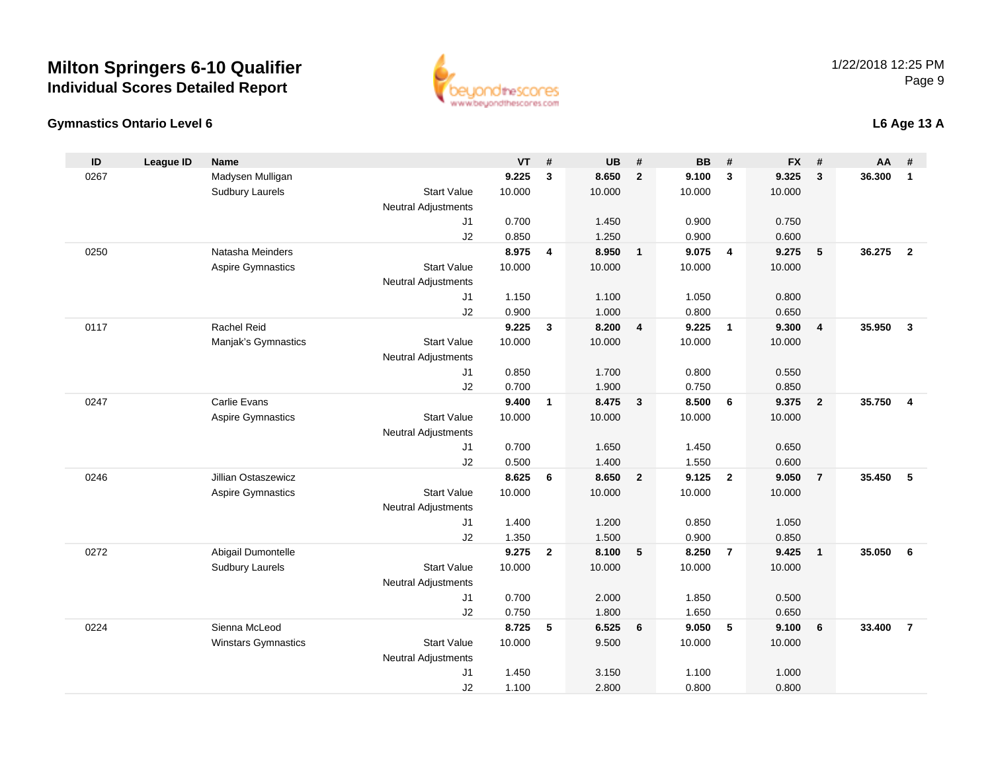#### **Gymnastics Ontario Level 6**

| ID   | League ID | <b>Name</b>                |                            | VT     | #              | <b>UB</b> | #                       | <b>BB</b> | #                       | <b>FX</b> | #              | AA     | #              |
|------|-----------|----------------------------|----------------------------|--------|----------------|-----------|-------------------------|-----------|-------------------------|-----------|----------------|--------|----------------|
| 0267 |           | Madysen Mulligan           |                            | 9.225  | 3              | 8.650     | $\overline{2}$          | 9.100     | $\overline{\mathbf{3}}$ | 9.325     | 3              | 36.300 | $\mathbf{1}$   |
|      |           | <b>Sudbury Laurels</b>     | <b>Start Value</b>         | 10.000 |                | 10.000    |                         | 10.000    |                         | 10.000    |                |        |                |
|      |           |                            | <b>Neutral Adjustments</b> |        |                |           |                         |           |                         |           |                |        |                |
|      |           |                            | J <sub>1</sub>             | 0.700  |                | 1.450     |                         | 0.900     |                         | 0.750     |                |        |                |
|      |           |                            | J2                         | 0.850  |                | 1.250     |                         | 0.900     |                         | 0.600     |                |        |                |
| 0250 |           | Natasha Meinders           |                            | 8.975  | $\overline{4}$ | 8.950     | $\overline{1}$          | 9.075     | $\overline{4}$          | 9.275     | 5              | 36.275 | $\overline{2}$ |
|      |           | <b>Aspire Gymnastics</b>   | <b>Start Value</b>         | 10.000 |                | 10.000    |                         | 10.000    |                         | 10.000    |                |        |                |
|      |           |                            | <b>Neutral Adjustments</b> |        |                |           |                         |           |                         |           |                |        |                |
|      |           |                            | J1                         | 1.150  |                | 1.100     |                         | 1.050     |                         | 0.800     |                |        |                |
|      |           |                            | J2                         | 0.900  |                | 1.000     |                         | 0.800     |                         | 0.650     |                |        |                |
| 0117 |           | <b>Rachel Reid</b>         |                            | 9.225  | $\mathbf{3}$   | 8.200     | $\overline{4}$          | 9.225     | $\overline{1}$          | 9.300     | $\overline{4}$ | 35.950 | $\mathbf{3}$   |
|      |           | Manjak's Gymnastics        | <b>Start Value</b>         | 10.000 |                | 10.000    |                         | 10.000    |                         | 10.000    |                |        |                |
|      |           |                            | <b>Neutral Adjustments</b> |        |                |           |                         |           |                         |           |                |        |                |
|      |           |                            | J <sub>1</sub>             | 0.850  |                | 1.700     |                         | 0.800     |                         | 0.550     |                |        |                |
|      |           |                            | J2                         | 0.700  |                | 1.900     |                         | 0.750     |                         | 0.850     |                |        |                |
| 0247 |           | Carlie Evans               |                            | 9.400  | $\mathbf{1}$   | 8.475     | $\overline{\mathbf{3}}$ | 8.500     | $6\phantom{1}6$         | 9.375     | $\overline{2}$ | 35.750 | $\overline{4}$ |
|      |           | <b>Aspire Gymnastics</b>   | <b>Start Value</b>         | 10.000 |                | 10.000    |                         | 10.000    |                         | 10.000    |                |        |                |
|      |           |                            | <b>Neutral Adjustments</b> |        |                |           |                         |           |                         |           |                |        |                |
|      |           |                            | J1                         | 0.700  |                | 1.650     |                         | 1.450     |                         | 0.650     |                |        |                |
|      |           |                            | J2                         | 0.500  |                | 1.400     |                         | 1.550     |                         | 0.600     |                |        |                |
| 0246 |           | Jillian Ostaszewicz        |                            | 8.625  | 6              | 8.650     | $\overline{2}$          | 9.125     | $\overline{2}$          | 9.050     | $\overline{7}$ | 35.450 | 5              |
|      |           | <b>Aspire Gymnastics</b>   | <b>Start Value</b>         | 10.000 |                | 10.000    |                         | 10.000    |                         | 10.000    |                |        |                |
|      |           |                            | <b>Neutral Adjustments</b> |        |                |           |                         |           |                         |           |                |        |                |
|      |           |                            | J <sub>1</sub>             | 1.400  |                | 1.200     |                         | 0.850     |                         | 1.050     |                |        |                |
|      |           |                            | J2                         | 1.350  |                | 1.500     |                         | 0.900     |                         | 0.850     |                |        |                |
| 0272 |           | Abigail Dumontelle         |                            | 9.275  | $\mathbf{2}$   | 8.100     | 5                       | 8.250     | $\overline{7}$          | 9.425     | $\overline{1}$ | 35.050 | 6              |
|      |           | <b>Sudbury Laurels</b>     | <b>Start Value</b>         | 10.000 |                | 10.000    |                         | 10.000    |                         | 10.000    |                |        |                |
|      |           |                            | <b>Neutral Adjustments</b> |        |                |           |                         |           |                         |           |                |        |                |
|      |           |                            | J1                         | 0.700  |                | 2.000     |                         | 1.850     |                         | 0.500     |                |        |                |
|      |           |                            | J2                         | 0.750  |                | 1.800     |                         | 1.650     |                         | 0.650     |                |        |                |
| 0224 |           | Sienna McLeod              |                            | 8.725  | 5              | 6.525     | 6                       | 9.050     | 5                       | 9.100     | 6              | 33.400 | $\overline{7}$ |
|      |           | <b>Winstars Gymnastics</b> | <b>Start Value</b>         | 10.000 |                | 9.500     |                         | 10.000    |                         | 10.000    |                |        |                |
|      |           |                            | <b>Neutral Adjustments</b> |        |                |           |                         |           |                         |           |                |        |                |
|      |           |                            | J <sub>1</sub>             | 1.450  |                | 3.150     |                         | 1.100     |                         | 1.000     |                |        |                |

J2

1.100 2.800 0.800 0.800



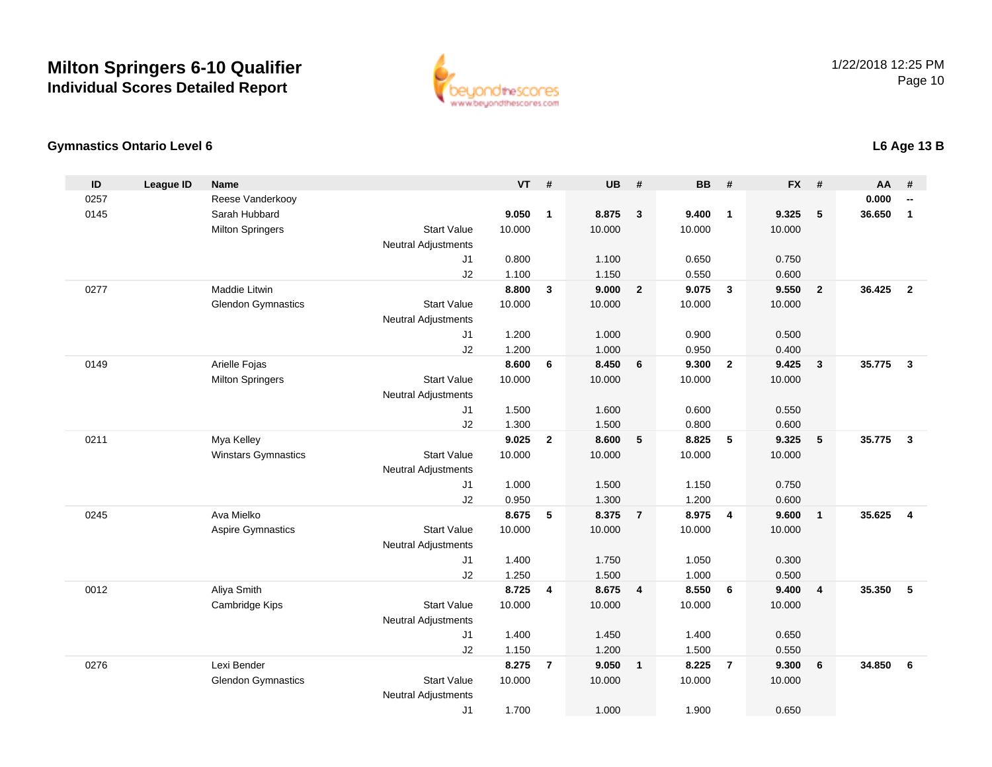

#### **Gymnastics Ontario Level 6**

| ID   | <b>League ID</b> | <b>Name</b>               |                            | $VT$ # |                | <b>UB</b> | #                       | <b>BB</b> | #                       | FX #   |                | <b>AA</b> | #                       |
|------|------------------|---------------------------|----------------------------|--------|----------------|-----------|-------------------------|-----------|-------------------------|--------|----------------|-----------|-------------------------|
| 0257 |                  | Reese Vanderkooy          |                            |        |                |           |                         |           |                         |        |                | 0.000     | --                      |
| 0145 |                  | Sarah Hubbard             |                            | 9.050  | $\mathbf{1}$   | 8.875     | $\overline{\mathbf{3}}$ | 9.400     | $\overline{1}$          | 9.325  | 5              | 36.650    | $\mathbf{1}$            |
|      |                  | <b>Milton Springers</b>   | <b>Start Value</b>         | 10.000 |                | 10.000    |                         | 10.000    |                         | 10.000 |                |           |                         |
|      |                  |                           | <b>Neutral Adjustments</b> |        |                |           |                         |           |                         |        |                |           |                         |
|      |                  |                           | J <sub>1</sub>             | 0.800  |                | 1.100     |                         | 0.650     |                         | 0.750  |                |           |                         |
|      |                  |                           | J2                         | 1.100  |                | 1.150     |                         | 0.550     |                         | 0.600  |                |           |                         |
| 0277 |                  | Maddie Litwin             |                            | 8.800  | $\mathbf{3}$   | 9.000     | $\overline{\mathbf{2}}$ | 9.075     | $\overline{\mathbf{3}}$ | 9.550  | $\overline{2}$ | 36.425    | $\overline{2}$          |
|      |                  | <b>Glendon Gymnastics</b> | <b>Start Value</b>         | 10.000 |                | 10.000    |                         | 10.000    |                         | 10.000 |                |           |                         |
|      |                  |                           | <b>Neutral Adjustments</b> |        |                |           |                         |           |                         |        |                |           |                         |
|      |                  |                           | J1                         | 1.200  |                | 1.000     |                         | 0.900     |                         | 0.500  |                |           |                         |
|      |                  |                           | J2                         | 1.200  |                | 1.000     |                         | 0.950     |                         | 0.400  |                |           |                         |
| 0149 |                  | Arielle Fojas             |                            | 8.600  | $\bf 6$        | 8.450     | 6                       | 9.300     | $\overline{2}$          | 9.425  | $\mathbf{3}$   | 35.775    | $\mathbf{3}$            |
|      |                  | <b>Milton Springers</b>   | <b>Start Value</b>         | 10.000 |                | 10.000    |                         | 10.000    |                         | 10.000 |                |           |                         |
|      |                  |                           | <b>Neutral Adjustments</b> |        |                |           |                         |           |                         |        |                |           |                         |
|      |                  |                           | J <sub>1</sub>             | 1.500  |                | 1.600     |                         | 0.600     |                         | 0.550  |                |           |                         |
|      |                  |                           | J2                         | 1.300  |                | 1.500     |                         | 0.800     |                         | 0.600  |                |           |                         |
| 0211 |                  | Mya Kelley                |                            | 9.025  | $\mathbf{2}$   | 8.600     | 5                       | 8.825     | ${\bf 5}$               | 9.325  | ${\bf 5}$      | 35.775    | $\overline{\mathbf{3}}$ |
|      |                  | Winstars Gymnastics       | <b>Start Value</b>         | 10.000 |                | 10.000    |                         | 10.000    |                         | 10.000 |                |           |                         |
|      |                  |                           | <b>Neutral Adjustments</b> |        |                |           |                         |           |                         |        |                |           |                         |
|      |                  |                           | J <sub>1</sub>             | 1.000  |                | 1.500     |                         | 1.150     |                         | 0.750  |                |           |                         |
|      |                  |                           | J2                         | 0.950  |                | 1.300     |                         | 1.200     |                         | 0.600  |                |           |                         |
| 0245 |                  | Ava Mielko                |                            | 8.675  | ${\bf 5}$      | 8.375     | $\overline{7}$          | 8.975     | $\overline{4}$          | 9.600  | $\mathbf{1}$   | 35.625    | $\overline{4}$          |
|      |                  | Aspire Gymnastics         | <b>Start Value</b>         | 10.000 |                | 10.000    |                         | 10.000    |                         | 10.000 |                |           |                         |
|      |                  |                           | <b>Neutral Adjustments</b> |        |                |           |                         |           |                         |        |                |           |                         |
|      |                  |                           | J1                         | 1.400  |                | 1.750     |                         | 1.050     |                         | 0.300  |                |           |                         |
|      |                  |                           | J2                         | 1.250  |                | 1.500     |                         | 1.000     |                         | 0.500  |                |           |                         |
| 0012 |                  | Aliya Smith               |                            | 8.725  | $\overline{4}$ | 8.675     | $\overline{\mathbf{4}}$ | 8.550     | 6                       | 9.400  | 4              | 35.350    | 5                       |
|      |                  | Cambridge Kips            | <b>Start Value</b>         | 10.000 |                | 10.000    |                         | 10.000    |                         | 10.000 |                |           |                         |
|      |                  |                           | <b>Neutral Adjustments</b> |        |                |           |                         |           |                         |        |                |           |                         |
|      |                  |                           | J1                         | 1.400  |                | 1.450     |                         | 1.400     |                         | 0.650  |                |           |                         |
|      |                  |                           | J2                         | 1.150  |                | 1.200     |                         | 1.500     |                         | 0.550  |                |           |                         |
| 0276 |                  | Lexi Bender               |                            | 8.275  | $\overline{7}$ | 9.050     | $\overline{1}$          | 8.225     | $\overline{7}$          | 9.300  | $\bf 6$        | 34.850    | 6                       |
|      |                  | <b>Glendon Gymnastics</b> | <b>Start Value</b>         | 10.000 |                | 10.000    |                         | 10.000    |                         | 10.000 |                |           |                         |
|      |                  |                           | <b>Neutral Adjustments</b> |        |                |           |                         |           |                         |        |                |           |                         |
|      |                  |                           | J <sub>1</sub>             | 1.700  |                | 1.000     |                         | 1.900     |                         | 0.650  |                |           |                         |

### **L6 Age 13 B**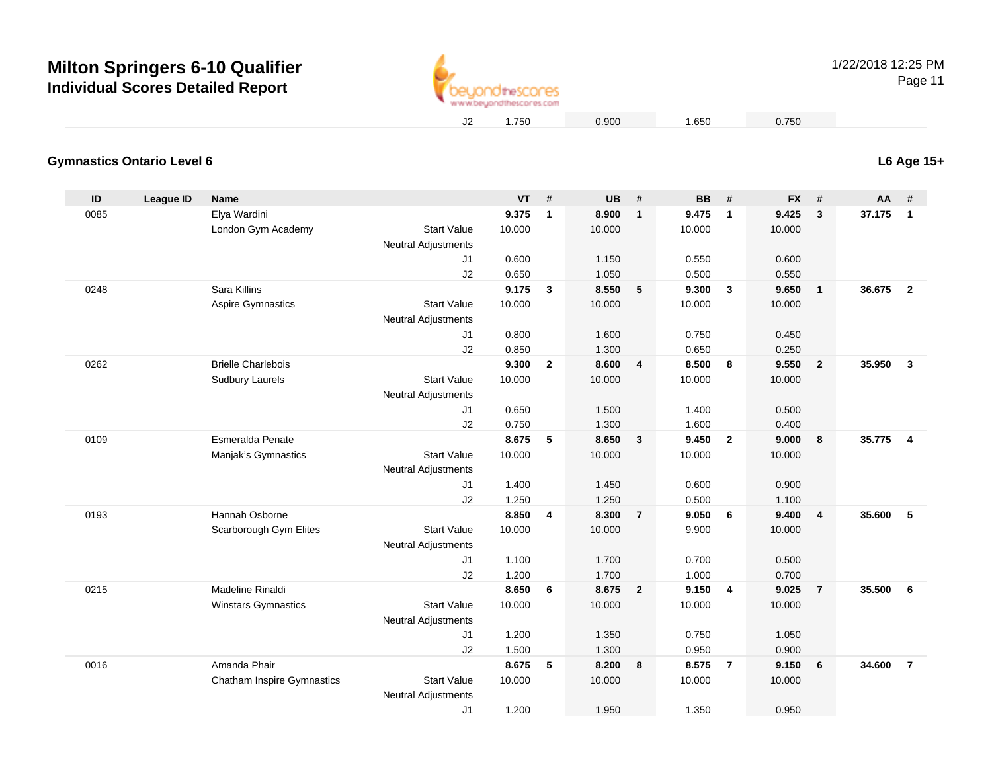

Page 11

e 10.000 10.000 10.000 10.000

1.200 1.950 1.350 0.950

### **L6 Age 15+**

| $\mathsf{ID}$ | <b>League ID</b> | Name                              |                                              | <b>VT</b>       | #            | <b>UB</b>       | #                       | <b>BB</b>       | #              | <b>FX</b>       | #              | AA     |                |
|---------------|------------------|-----------------------------------|----------------------------------------------|-----------------|--------------|-----------------|-------------------------|-----------------|----------------|-----------------|----------------|--------|----------------|
| 0085          |                  | Elya Wardini                      |                                              | 9.375           | $\mathbf{1}$ | 8.900           | $\mathbf{1}$            | 9.475           | 1              | 9.425           | 3              | 37.175 |                |
|               |                  | London Gym Academy                | <b>Start Value</b>                           | 10.000          |              | 10.000          |                         | 10.000          |                | 10.000          |                |        |                |
|               |                  |                                   | <b>Neutral Adjustments</b>                   |                 |              |                 |                         |                 |                |                 |                |        |                |
|               |                  |                                   | J1                                           | 0.600           |              | 1.150           |                         | 0.550           |                | 0.600           |                |        |                |
|               |                  |                                   | J2                                           | 0.650           |              | 1.050           |                         | 0.500           |                | 0.550           |                |        |                |
| 0248          |                  | Sara Killins                      |                                              | 9.175           | 3            | 8.550           | 5                       | 9.300           | 3              | 9.650           | $\mathbf{1}$   | 36.675 | $\overline{2}$ |
|               |                  | Aspire Gymnastics                 | <b>Start Value</b>                           | 10.000          |              | 10.000          |                         | 10.000          |                | 10.000          |                |        |                |
|               |                  |                                   | <b>Neutral Adjustments</b>                   |                 |              |                 |                         |                 |                |                 |                |        |                |
|               |                  |                                   | J1                                           | 0.800<br>0.850  |              | 1.600<br>1.300  |                         | 0.750<br>0.650  |                | 0.450           |                |        |                |
| 0262          |                  | <b>Brielle Charlebois</b>         | J2                                           |                 |              |                 |                         |                 |                | 0.250           |                |        |                |
|               |                  |                                   | <b>Start Value</b>                           | 9.300<br>10.000 | $\mathbf{2}$ | 8.600<br>10.000 | $\overline{\mathbf{4}}$ | 8.500<br>10.000 | 8              | 9.550<br>10.000 | $\overline{2}$ | 35.950 | 3              |
|               |                  | <b>Sudbury Laurels</b>            |                                              |                 |              |                 |                         |                 |                |                 |                |        |                |
|               |                  |                                   | <b>Neutral Adjustments</b><br>J <sub>1</sub> | 0.650           |              | 1.500           |                         | 1.400           |                | 0.500           |                |        |                |
|               |                  |                                   | J2                                           | 0.750           |              | 1.300           |                         | 1.600           |                | 0.400           |                |        |                |
| 0109          |                  | <b>Esmeralda Penate</b>           |                                              | 8.675           | 5            | 8.650           | 3                       | 9.450           | $\mathbf{2}$   | 9.000           | 8              | 35.775 | 4              |
|               |                  | Manjak's Gymnastics               | <b>Start Value</b>                           | 10.000          |              | 10.000          |                         | 10.000          |                | 10.000          |                |        |                |
|               |                  |                                   | <b>Neutral Adjustments</b>                   |                 |              |                 |                         |                 |                |                 |                |        |                |
|               |                  |                                   | J1                                           | 1.400           |              | 1.450           |                         | 0.600           |                | 0.900           |                |        |                |
|               |                  |                                   | J2                                           | 1.250           |              | 1.250           |                         | 0.500           |                | 1.100           |                |        |                |
| 0193          |                  | Hannah Osborne                    |                                              | 8.850           | 4            | 8.300           | $\overline{\mathbf{r}}$ | 9.050           | 6              | 9.400           | $\overline{4}$ | 35.600 |                |
|               |                  | Scarborough Gym Elites            | <b>Start Value</b>                           | 10.000          |              | 10.000          |                         | 9.900           |                | 10.000          |                |        |                |
|               |                  |                                   | <b>Neutral Adjustments</b>                   |                 |              |                 |                         |                 |                |                 |                |        |                |
|               |                  |                                   | J1                                           | 1.100           |              | 1.700           |                         | 0.700           |                | 0.500           |                |        |                |
|               |                  |                                   | J2                                           | 1.200           |              | 1.700           |                         | 1.000           |                | 0.700           |                |        |                |
| 0215          |                  | Madeline Rinaldi                  |                                              | 8.650           | 6            | 8.675           | $\overline{2}$          | 9.150           | 4              | 9.025           | $\overline{7}$ | 35.500 | 6              |
|               |                  | <b>Winstars Gymnastics</b>        | <b>Start Value</b>                           | 10.000          |              | 10.000          |                         | 10.000          |                | 10.000          |                |        |                |
|               |                  |                                   | <b>Neutral Adjustments</b>                   |                 |              |                 |                         |                 |                |                 |                |        |                |
|               |                  |                                   | J1                                           | 1.200           |              | 1.350           |                         | 0.750           |                | 1.050           |                |        |                |
|               |                  |                                   | J2                                           | 1.500           |              | 1.300           |                         | 0.950           |                | 0.900           |                |        |                |
| 0016          |                  | Amanda Phair                      |                                              | 8.675           | 5            | 8.200           | 8                       | 8.575           | $\overline{7}$ | 9.150           | 6              | 34.600 |                |
|               |                  | <b>Chatham Inspire Gymnastics</b> | <b>Start Value</b>                           | 10.000          |              | 10.000          |                         | 10.000          |                | 10.000          |                |        |                |

Neutral Adjustments

J1

### **Gymnastics Ontario Level 6**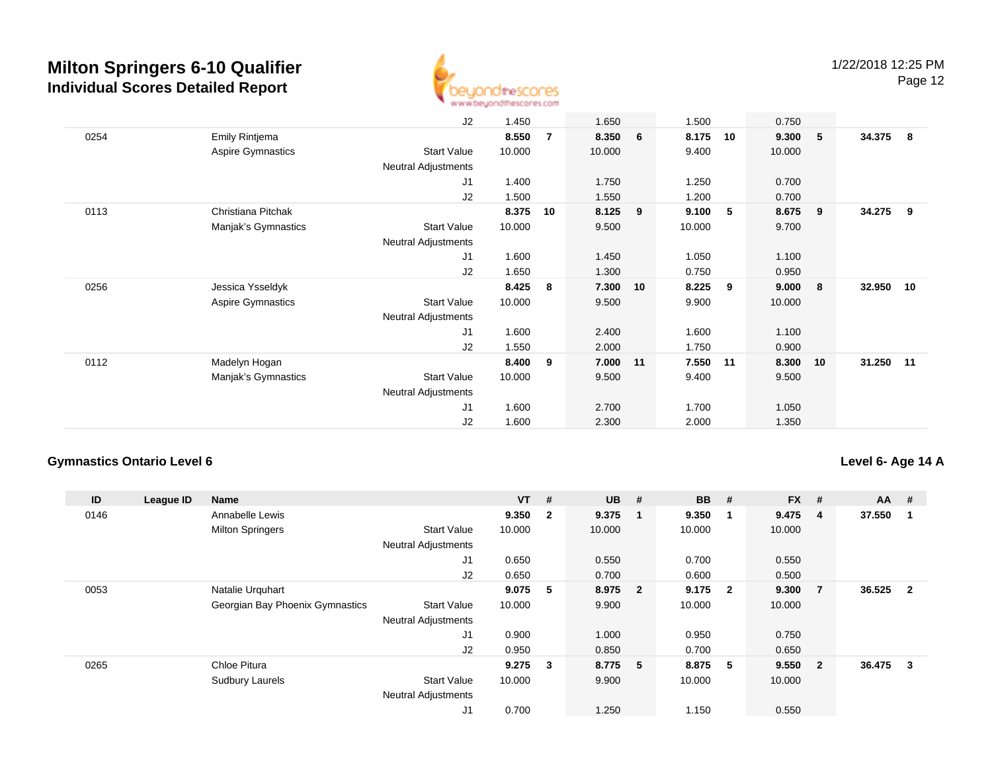

Page 12

|      |                          | J2                         | 1.450  |                | 1.650  |    | 1.500  |    | 0.750  |      |           |    |
|------|--------------------------|----------------------------|--------|----------------|--------|----|--------|----|--------|------|-----------|----|
| 0254 | Emily Rintjema           |                            | 8.550  | $\overline{7}$ | 8.350  | 6  | 8.175  | 10 | 9.300  | $-5$ | 34.375    | 8  |
|      | Aspire Gymnastics        | <b>Start Value</b>         | 10.000 |                | 10.000 |    | 9.400  |    | 10.000 |      |           |    |
|      |                          | Neutral Adjustments        |        |                |        |    |        |    |        |      |           |    |
|      |                          | J1                         | 1.400  |                | 1.750  |    | 1.250  |    | 0.700  |      |           |    |
|      |                          | J2                         | 1.500  |                | 1.550  |    | 1.200  |    | 0.700  |      |           |    |
| 0113 | Christiana Pitchak       |                            | 8.375  | 10             | 8.125  | 9  | 9.100  | -5 | 8.675  | 9    | 34.275    | -9 |
|      | Manjak's Gymnastics      | <b>Start Value</b>         | 10.000 |                | 9.500  |    | 10.000 |    | 9.700  |      |           |    |
|      |                          | <b>Neutral Adjustments</b> |        |                |        |    |        |    |        |      |           |    |
|      |                          | J1                         | 1.600  |                | 1.450  |    | 1.050  |    | 1.100  |      |           |    |
|      |                          | J2                         | 1.650  |                | 1.300  |    | 0.750  |    | 0.950  |      |           |    |
| 0256 | Jessica Ysseldyk         |                            | 8.425  | 8              | 7.300  | 10 | 8.225  | 9  | 9.000  | 8    | 32.950 10 |    |
|      | <b>Aspire Gymnastics</b> | <b>Start Value</b>         | 10.000 |                | 9.500  |    | 9.900  |    | 10.000 |      |           |    |
|      |                          | <b>Neutral Adjustments</b> |        |                |        |    |        |    |        |      |           |    |
|      |                          | J1                         | 1.600  |                | 2.400  |    | 1.600  |    | 1.100  |      |           |    |
|      |                          | J2                         | 1.550  |                | 2.000  |    | 1.750  |    | 0.900  |      |           |    |
| 0112 | Madelyn Hogan            |                            | 8.400  | 9              | 7.000  | 11 | 7.550  | 11 | 8.300  | 10   | 31.250    | 11 |
|      | Manjak's Gymnastics      | <b>Start Value</b>         | 10.000 |                | 9.500  |    | 9.400  |    | 9.500  |      |           |    |
|      |                          | <b>Neutral Adjustments</b> |        |                |        |    |        |    |        |      |           |    |
|      |                          | J1                         | 1.600  |                | 2.700  |    | 1.700  |    | 1.050  |      |           |    |
|      |                          | J2                         | 1.600  |                | 2.300  |    | 2.000  |    | 1.350  |      |           |    |

#### **Gymnastics Ontario Level 6**

**Level 6- Age 14 A**

| ID   | League ID | Name                            |                            | $VT$ # |                         | <b>UB</b> | -#                      | <b>BB</b> | #                       | <b>FX</b> | #              | $AA$ # |                |
|------|-----------|---------------------------------|----------------------------|--------|-------------------------|-----------|-------------------------|-----------|-------------------------|-----------|----------------|--------|----------------|
| 0146 |           | Annabelle Lewis                 |                            | 9.350  | $\overline{2}$          | 9.375     | $\blacksquare$          | 9.350     | $\mathbf 1$             | 9.475     | 4              | 37.550 |                |
|      |           | <b>Milton Springers</b>         | <b>Start Value</b>         | 10.000 |                         | 10.000    |                         | 10.000    |                         | 10.000    |                |        |                |
|      |           |                                 | <b>Neutral Adjustments</b> |        |                         |           |                         |           |                         |           |                |        |                |
|      |           |                                 | J1                         | 0.650  |                         | 0.550     |                         | 0.700     |                         | 0.550     |                |        |                |
|      |           |                                 | J2                         | 0.650  |                         | 0.700     |                         | 0.600     |                         | 0.500     |                |        |                |
| 0053 |           | Natalie Urquhart                |                            | 9.075  | 5                       | 8.975     | $\overline{\mathbf{2}}$ | 9.175     | $\overline{\mathbf{2}}$ | 9.300     | $\overline{7}$ | 36.525 | $\overline{2}$ |
|      |           | Georgian Bay Phoenix Gymnastics | <b>Start Value</b>         | 10.000 |                         | 9.900     |                         | 10.000    |                         | 10.000    |                |        |                |
|      |           |                                 | <b>Neutral Adjustments</b> |        |                         |           |                         |           |                         |           |                |        |                |
|      |           |                                 | J <sub>1</sub>             | 0.900  |                         | 1.000     |                         | 0.950     |                         | 0.750     |                |        |                |
|      |           |                                 | J2                         | 0.950  |                         | 0.850     |                         | 0.700     |                         | 0.650     |                |        |                |
| 0265 |           | Chloe Pitura                    |                            | 9.275  | $\overline{\mathbf{3}}$ | 8.775     | $-5$                    | 8.875     | -5                      | 9.550     | $\overline{2}$ | 36.475 | 3              |
|      |           | <b>Sudbury Laurels</b>          | <b>Start Value</b>         | 10.000 |                         | 9.900     |                         | 10.000    |                         | 10.000    |                |        |                |
|      |           |                                 | <b>Neutral Adjustments</b> |        |                         |           |                         |           |                         |           |                |        |                |
|      |           |                                 | J1                         | 0.700  |                         | 1.250     |                         | 1.150     |                         | 0.550     |                |        |                |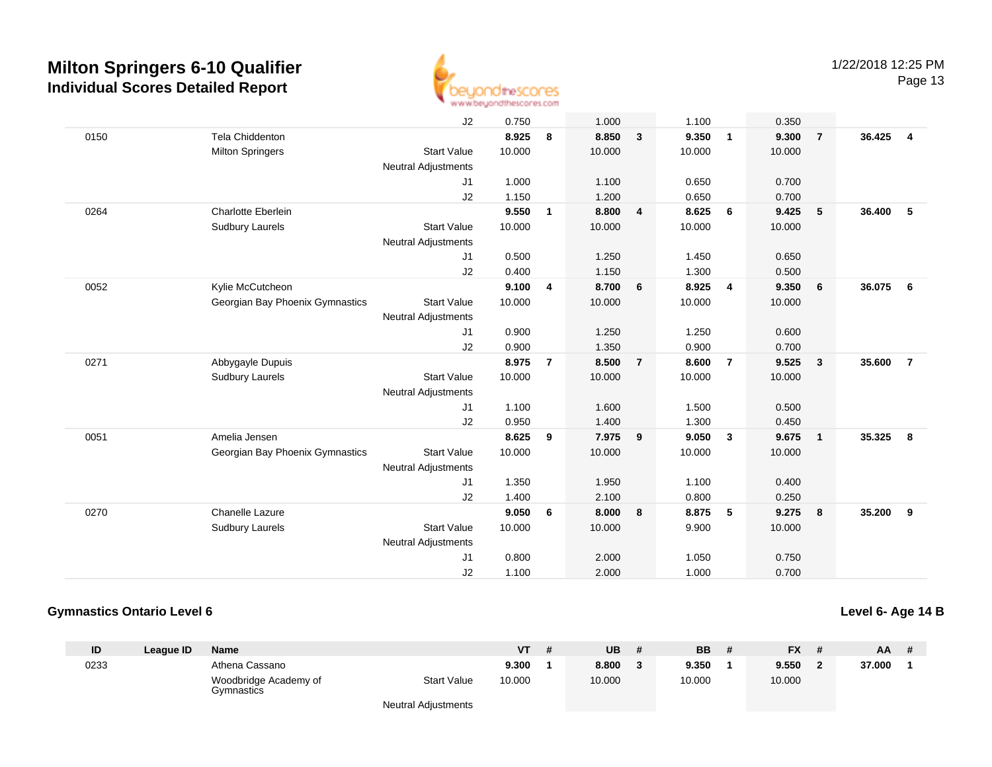

Page 13

|      |                                 | J2                         | 0.750  |                | 1.000  |                | 1.100  |                | 0.350  |                         |        |                |
|------|---------------------------------|----------------------------|--------|----------------|--------|----------------|--------|----------------|--------|-------------------------|--------|----------------|
| 0150 | <b>Tela Chiddenton</b>          |                            | 8.925  | 8              | 8.850  | $\mathbf{3}$   | 9.350  | $\overline{1}$ | 9.300  | $\overline{7}$          | 36.425 | $\overline{4}$ |
|      | <b>Milton Springers</b>         | <b>Start Value</b>         | 10.000 |                | 10.000 |                | 10.000 |                | 10.000 |                         |        |                |
|      |                                 | <b>Neutral Adjustments</b> |        |                |        |                |        |                |        |                         |        |                |
|      |                                 | J1                         | 1.000  |                | 1.100  |                | 0.650  |                | 0.700  |                         |        |                |
|      |                                 | J2                         | 1.150  |                | 1.200  |                | 0.650  |                | 0.700  |                         |        |                |
| 0264 | <b>Charlotte Eberlein</b>       |                            | 9.550  | $\mathbf{1}$   | 8.800  | 4              | 8.625  | 6              | 9.425  | 5                       | 36.400 | 5              |
|      | <b>Sudbury Laurels</b>          | <b>Start Value</b>         | 10.000 |                | 10.000 |                | 10.000 |                | 10.000 |                         |        |                |
|      |                                 | <b>Neutral Adjustments</b> |        |                |        |                |        |                |        |                         |        |                |
|      |                                 | J1                         | 0.500  |                | 1.250  |                | 1.450  |                | 0.650  |                         |        |                |
|      |                                 | J2                         | 0.400  |                | 1.150  |                | 1.300  |                | 0.500  |                         |        |                |
| 0052 | Kylie McCutcheon                |                            | 9.100  | 4              | 8.700  | 6              | 8.925  | $\overline{4}$ | 9.350  | 6                       | 36.075 | 6              |
|      | Georgian Bay Phoenix Gymnastics | <b>Start Value</b>         | 10.000 |                | 10.000 |                | 10.000 |                | 10.000 |                         |        |                |
|      |                                 | Neutral Adjustments        |        |                |        |                |        |                |        |                         |        |                |
|      |                                 | J1                         | 0.900  |                | 1.250  |                | 1.250  |                | 0.600  |                         |        |                |
|      |                                 | J2                         | 0.900  |                | 1.350  |                | 0.900  |                | 0.700  |                         |        |                |
| 0271 | Abbygayle Dupuis                |                            | 8.975  | $\overline{7}$ | 8.500  | $\overline{7}$ | 8.600  | $\overline{7}$ | 9.525  | $\overline{\mathbf{3}}$ | 35.600 | $\overline{7}$ |
|      | <b>Sudbury Laurels</b>          | <b>Start Value</b>         | 10.000 |                | 10.000 |                | 10.000 |                | 10.000 |                         |        |                |
|      |                                 | Neutral Adjustments        |        |                |        |                |        |                |        |                         |        |                |
|      |                                 | J1                         | 1.100  |                | 1.600  |                | 1.500  |                | 0.500  |                         |        |                |
|      |                                 | J2                         | 0.950  |                | 1.400  |                | 1.300  |                | 0.450  |                         |        |                |
| 0051 | Amelia Jensen                   |                            | 8.625  | 9              | 7.975  | 9              | 9.050  | $\mathbf{3}$   | 9.675  | $\overline{1}$          | 35.325 | 8              |
|      | Georgian Bay Phoenix Gymnastics | <b>Start Value</b>         | 10.000 |                | 10.000 |                | 10.000 |                | 10.000 |                         |        |                |
|      |                                 | <b>Neutral Adjustments</b> |        |                |        |                |        |                |        |                         |        |                |
|      |                                 | J1                         | 1.350  |                | 1.950  |                | 1.100  |                | 0.400  |                         |        |                |
|      |                                 | J2                         | 1.400  |                | 2.100  |                | 0.800  |                | 0.250  |                         |        |                |
| 0270 | <b>Chanelle Lazure</b>          |                            | 9.050  | 6              | 8.000  | 8              | 8.875  | 5              | 9.275  | 8                       | 35.200 | 9              |
|      | <b>Sudbury Laurels</b>          | <b>Start Value</b>         | 10.000 |                | 10.000 |                | 9.900  |                | 10.000 |                         |        |                |
|      |                                 | <b>Neutral Adjustments</b> |        |                |        |                |        |                |        |                         |        |                |
|      |                                 | J1                         | 0.800  |                | 2.000  |                | 1.050  |                | 0.750  |                         |        |                |
|      |                                 | J2                         | 1.100  |                | 2.000  |                | 1.000  |                | 0.700  |                         |        |                |

#### **Gymnastics Ontario Level 6**

**Level 6- Age 14 B**

| ID   | League ID | <b>Name</b>                         |                            | VT     | UB     | <b>BB</b> | <b>FX</b> | AA     | $\overline{t}$ |
|------|-----------|-------------------------------------|----------------------------|--------|--------|-----------|-----------|--------|----------------|
| 0233 |           | Athena Cassano                      |                            | 9.300  | 8.800  | 9.350     | 9.550     | 37.000 |                |
|      |           | Woodbridge Academy of<br>Gymnastics | <b>Start Value</b>         | 10.000 | 10.000 | 10.000    | 10.000    |        |                |
|      |           |                                     | <b>Neutral Adjustments</b> |        |        |           |           |        |                |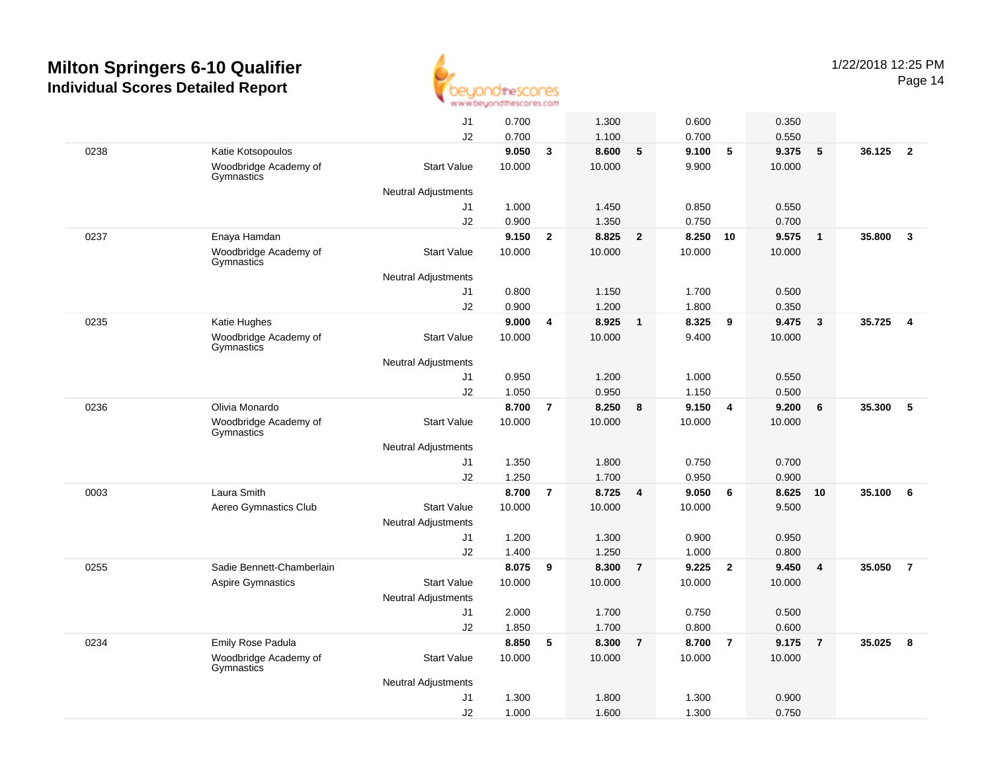

Page 14

|      |                                     | J1                                               | 0.700  |                | 1.300  |                | 0.600  |                | 0.350  |                |        |                |
|------|-------------------------------------|--------------------------------------------------|--------|----------------|--------|----------------|--------|----------------|--------|----------------|--------|----------------|
|      |                                     | J2                                               | 0.700  |                | 1.100  |                | 0.700  |                | 0.550  |                |        |                |
| 0238 | Katie Kotsopoulos                   |                                                  | 9.050  | $\mathbf{3}$   | 8.600  | 5              | 9.100  | 5              | 9.375  | 5              | 36.125 | $\overline{2}$ |
|      | Woodbridge Academy of<br>Gymnastics | <b>Start Value</b>                               | 10.000 |                | 10.000 |                | 9.900  |                | 10.000 |                |        |                |
|      |                                     | <b>Neutral Adjustments</b>                       |        |                |        |                |        |                |        |                |        |                |
|      |                                     | J1                                               | 1.000  |                | 1.450  |                | 0.850  |                | 0.550  |                |        |                |
|      |                                     | J2                                               | 0.900  |                | 1.350  |                | 0.750  |                | 0.700  |                |        |                |
| 0237 | Enaya Hamdan                        |                                                  | 9.150  | $\mathbf{2}$   | 8.825  | $\mathbf{2}$   | 8.250  | 10             | 9.575  | $\overline{1}$ | 35.800 | $\mathbf{3}$   |
|      | Woodbridge Academy of<br>Gymnastics | <b>Start Value</b>                               | 10.000 |                | 10.000 |                | 10.000 |                | 10.000 |                |        |                |
|      |                                     | <b>Neutral Adjustments</b>                       |        |                |        |                |        |                |        |                |        |                |
|      |                                     | J1                                               | 0.800  |                | 1.150  |                | 1.700  |                | 0.500  |                |        |                |
|      |                                     | J2                                               | 0.900  |                | 1.200  |                | 1.800  |                | 0.350  |                |        |                |
| 0235 | Katie Hughes                        |                                                  | 9.000  | 4              | 8.925  | $\mathbf{1}$   | 8.325  | 9              | 9.475  | $\overline{3}$ | 35.725 | $\overline{4}$ |
|      | Woodbridge Academy of<br>Gymnastics | <b>Start Value</b>                               | 10.000 |                | 10.000 |                | 9.400  |                | 10.000 |                |        |                |
|      |                                     | <b>Neutral Adjustments</b>                       |        |                |        |                |        |                |        |                |        |                |
|      |                                     | J1                                               | 0.950  |                | 1.200  |                | 1.000  |                | 0.550  |                |        |                |
|      |                                     | J2                                               | 1.050  |                | 0.950  |                | 1.150  |                | 0.500  |                |        |                |
| 0236 | Olivia Monardo                      |                                                  | 8.700  | $\overline{7}$ | 8.250  | 8              | 9.150  | $\overline{4}$ | 9.200  | 6              | 35.300 | $\sqrt{5}$     |
|      | Woodbridge Academy of<br>Gymnastics | <b>Start Value</b>                               | 10.000 |                | 10.000 |                | 10.000 |                | 10.000 |                |        |                |
|      |                                     | <b>Neutral Adjustments</b>                       |        |                |        |                |        |                |        |                |        |                |
|      |                                     | J1                                               | 1.350  |                | 1.800  |                | 0.750  |                | 0.700  |                |        |                |
|      |                                     | J2                                               | 1.250  |                | 1.700  |                | 0.950  |                | 0.900  |                |        |                |
| 0003 | Laura Smith                         |                                                  | 8.700  | $\overline{7}$ | 8.725  | 4              | 9.050  | 6              | 8.625  | 10             | 35.100 | 6              |
|      | Aereo Gymnastics Club               | <b>Start Value</b><br><b>Neutral Adjustments</b> | 10.000 |                | 10.000 |                | 10.000 |                | 9.500  |                |        |                |
|      |                                     | J1                                               | 1.200  |                | 1.300  |                | 0.900  |                | 0.950  |                |        |                |
|      |                                     | J2                                               | 1.400  |                | 1.250  |                | 1.000  |                | 0.800  |                |        |                |
| 0255 | Sadie Bennett-Chamberlain           |                                                  | 8.075  | 9              | 8.300  | $\overline{7}$ | 9.225  | $\overline{2}$ | 9.450  | $\overline{4}$ | 35.050 | $\overline{7}$ |
|      | <b>Aspire Gymnastics</b>            | <b>Start Value</b>                               | 10.000 |                | 10.000 |                | 10.000 |                | 10.000 |                |        |                |
|      |                                     | <b>Neutral Adjustments</b>                       |        |                |        |                |        |                |        |                |        |                |
|      |                                     | J1                                               | 2.000  |                | 1.700  |                | 0.750  |                | 0.500  |                |        |                |
|      |                                     | J2                                               | 1.850  |                | 1.700  |                | 0.800  |                | 0.600  |                |        |                |
| 0234 | Emily Rose Padula                   |                                                  | 8.850  | 5              | 8.300  | $\overline{7}$ | 8.700  | $\overline{7}$ | 9.175  | $\overline{7}$ | 35.025 | 8              |
|      | Woodbridge Academy of<br>Gymnastics | <b>Start Value</b>                               | 10.000 |                | 10.000 |                | 10.000 |                | 10.000 |                |        |                |
|      |                                     | <b>Neutral Adjustments</b>                       |        |                |        |                |        |                |        |                |        |                |
|      |                                     | J1                                               | 1.300  |                | 1.800  |                | 1.300  |                | 0.900  |                |        |                |
|      |                                     | J2                                               | 1.000  |                | 1.600  |                | 1.300  |                | 0.750  |                |        |                |
|      |                                     |                                                  |        |                |        |                |        |                |        |                |        |                |